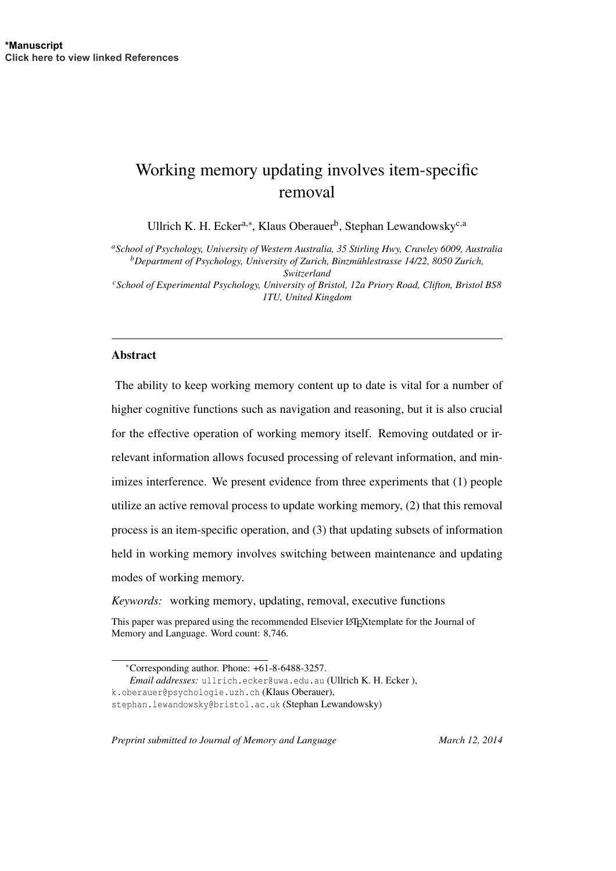# Working memory updating involves item-specific removal

Ullrich K. H. Ecker<sup>a,∗</sup>, Klaus Oberauer<sup>b</sup>, Stephan Lewandowsky<sup>c,a</sup>

*<sup>a</sup>School of Psychology, University of Western Australia, 35 Stirling Hwy, Crawley 6009, Australia <sup>b</sup>Department of Psychology, University of Zurich, Binzmuhlestrasse 14/22, 8050 Zurich, ¨ Switzerland*

*<sup>c</sup>School of Experimental Psychology, University of Bristol, 12a Priory Road, Clifton, Bristol BS8 1TU, United Kingdom*

## Abstract

The ability to keep working memory content up to date is vital for a number of higher cognitive functions such as navigation and reasoning, but it is also crucial for the effective operation of working memory itself. Removing outdated or irrelevant information allows focused processing of relevant information, and minimizes interference. We present evidence from three experiments that (1) people utilize an active removal process to update working memory, (2) that this removal process is an item-specific operation, and (3) that updating subsets of information held in working memory involves switching between maintenance and updating modes of working memory.

*Keywords:* working memory, updating, removal, executive functions

*Email addresses:* ullrich.ecker@uwa.edu.au (Ullrich K. H. Ecker ),

*Preprint submitted to Journal of Memory and Language March 12, 2014* 

This paper was prepared using the recommended Elsevier LATEXtemplate for the Journal of Memory and Language. Word count: 8,746.

<sup>∗</sup>Corresponding author. Phone: +61-8-6488-3257.

k.oberauer@psychologie.uzh.ch (Klaus Oberauer),

stephan.lewandowsky@bristol.ac.uk (Stephan Lewandowsky)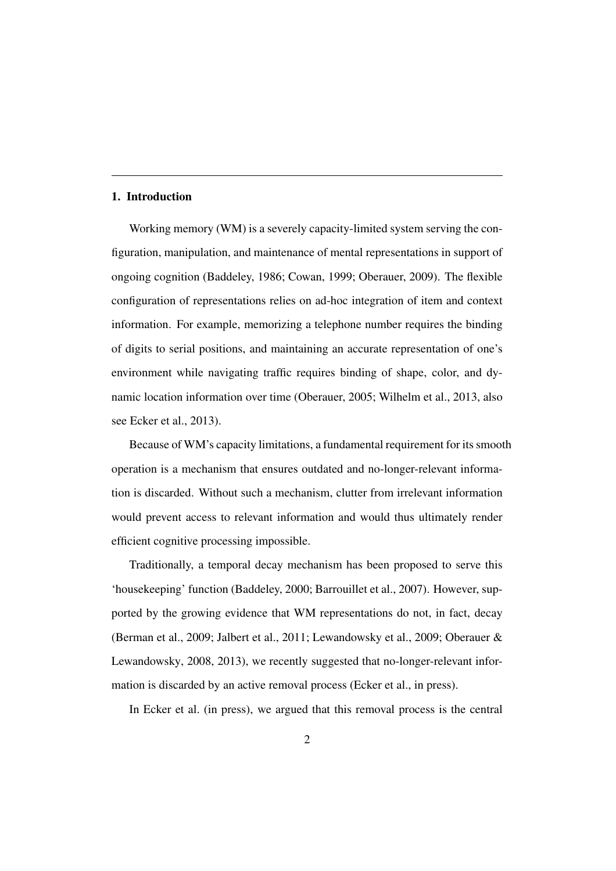## 1. Introduction

Working memory (WM) is a severely capacity-limited system serving the configuration, manipulation, and maintenance of mental representations in support of ongoing cognition (Baddeley, 1986; Cowan, 1999; Oberauer, 2009). The flexible configuration of representations relies on ad-hoc integration of item and context information. For example, memorizing a telephone number requires the binding of digits to serial positions, and maintaining an accurate representation of one's environment while navigating traffic requires binding of shape, color, and dynamic location information over time (Oberauer, 2005; Wilhelm et al., 2013, also see Ecker et al., 2013).

Because of WM's capacity limitations, a fundamental requirement for its smooth operation is a mechanism that ensures outdated and no-longer-relevant information is discarded. Without such a mechanism, clutter from irrelevant information would prevent access to relevant information and would thus ultimately render efficient cognitive processing impossible.

Traditionally, a temporal decay mechanism has been proposed to serve this 'housekeeping' function (Baddeley, 2000; Barrouillet et al., 2007). However, supported by the growing evidence that WM representations do not, in fact, decay (Berman et al., 2009; Jalbert et al., 2011; Lewandowsky et al., 2009; Oberauer & Lewandowsky, 2008, 2013), we recently suggested that no-longer-relevant information is discarded by an active removal process (Ecker et al., in press).

In Ecker et al. (in press), we argued that this removal process is the central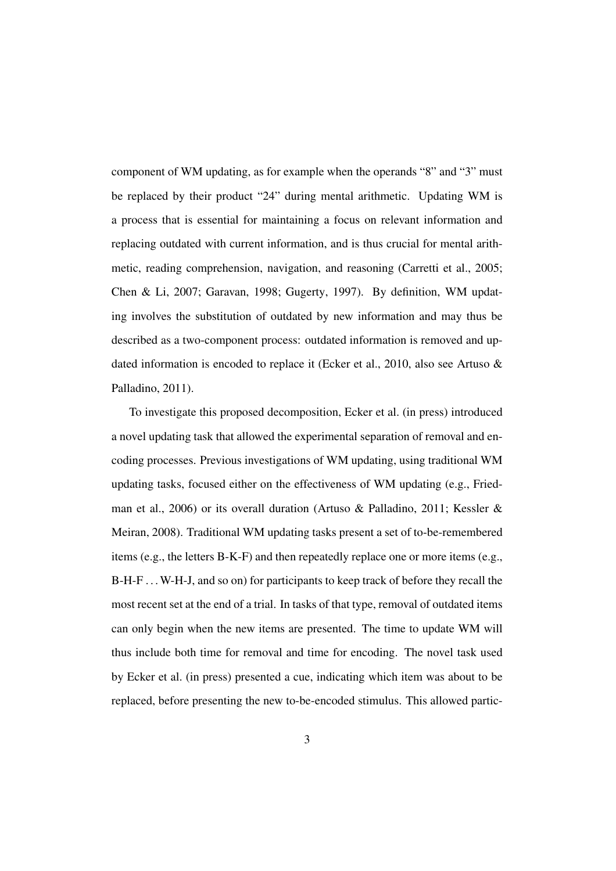component of WM updating, as for example when the operands "8" and "3" must be replaced by their product "24" during mental arithmetic. Updating WM is a process that is essential for maintaining a focus on relevant information and replacing outdated with current information, and is thus crucial for mental arithmetic, reading comprehension, navigation, and reasoning (Carretti et al., 2005; Chen & Li, 2007; Garavan, 1998; Gugerty, 1997). By definition, WM updating involves the substitution of outdated by new information and may thus be described as a two-component process: outdated information is removed and updated information is encoded to replace it (Ecker et al., 2010, also see Artuso & Palladino, 2011).

To investigate this proposed decomposition, Ecker et al. (in press) introduced a novel updating task that allowed the experimental separation of removal and encoding processes. Previous investigations of WM updating, using traditional WM updating tasks, focused either on the effectiveness of WM updating (e.g., Friedman et al., 2006) or its overall duration (Artuso & Palladino, 2011; Kessler & Meiran, 2008). Traditional WM updating tasks present a set of to-be-remembered items (e.g., the letters B-K-F) and then repeatedly replace one or more items (e.g., B-H-F . . . W-H-J, and so on) for participants to keep track of before they recall the most recent set at the end of a trial. In tasks of that type, removal of outdated items can only begin when the new items are presented. The time to update WM will thus include both time for removal and time for encoding. The novel task used by Ecker et al. (in press) presented a cue, indicating which item was about to be replaced, before presenting the new to-be-encoded stimulus. This allowed partic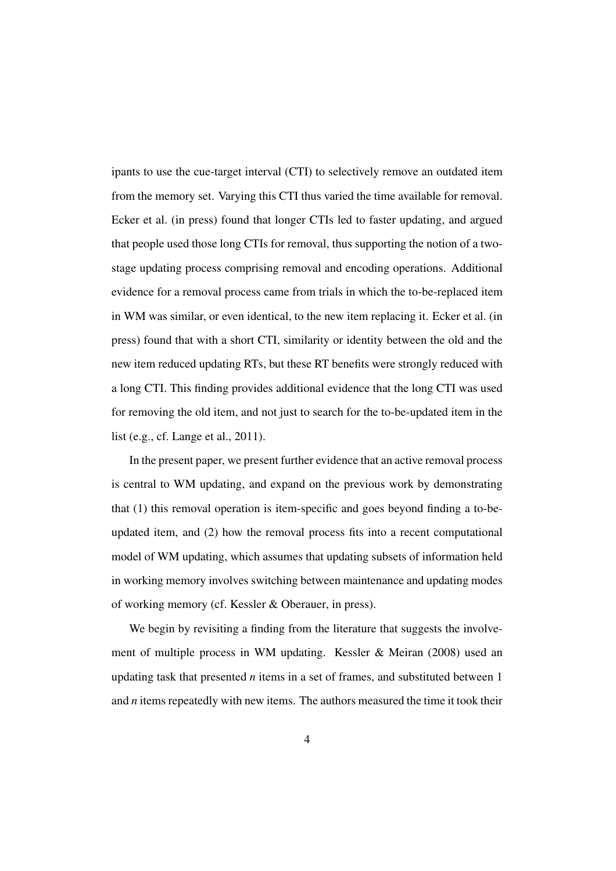ipants to use the cue-target interval (CTI) to selectively remove an outdated item from the memory set. Varying this CTI thus varied the time available for removal. Ecker et al. (in press) found that longer CTIs led to faster updating, and argued that people used those long CTIs for removal, thus supporting the notion of a twostage updating process comprising removal and encoding operations. Additional evidence for a removal process came from trials in which the to-be-replaced item in WM was similar, or even identical, to the new item replacing it. Ecker et al. (in press) found that with a short CTI, similarity or identity between the old and the new item reduced updating RTs, but these RT benefits were strongly reduced with a long CTI. This finding provides additional evidence that the long CTI was used for removing the old item, and not just to search for the to-be-updated item in the list (e.g., cf. Lange et al., 2011).

In the present paper, we present further evidence that an active removal process is central to WM updating, and expand on the previous work by demonstrating that (1) this removal operation is item-specific and goes beyond finding a to-beupdated item, and (2) how the removal process fits into a recent computational model of WM updating, which assumes that updating subsets of information held in working memory involves switching between maintenance and updating modes of working memory (cf. Kessler & Oberauer, in press).

We begin by revisiting a finding from the literature that suggests the involvement of multiple process in WM updating. Kessler & Meiran (2008) used an updating task that presented *n* items in a set of frames, and substituted between 1 and *n* items repeatedly with new items. The authors measured the time it took their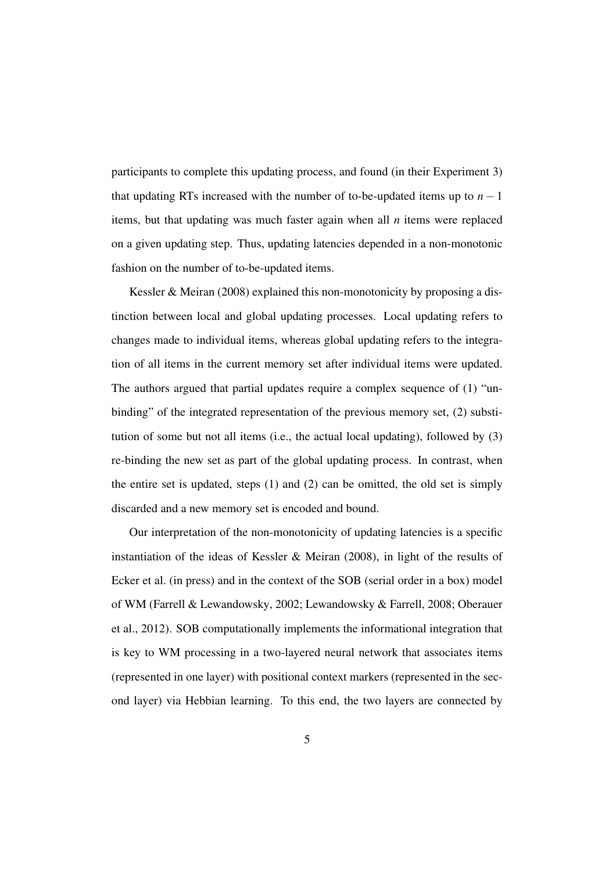participants to complete this updating process, and found (in their Experiment 3) that updating RTs increased with the number of to-be-updated items up to  $n - 1$ items, but that updating was much faster again when all *n* items were replaced on a given updating step. Thus, updating latencies depended in a non-monotonic fashion on the number of to-be-updated items.

Kessler & Meiran (2008) explained this non-monotonicity by proposing a distinction between local and global updating processes. Local updating refers to changes made to individual items, whereas global updating refers to the integration of all items in the current memory set after individual items were updated. The authors argued that partial updates require a complex sequence of (1) "unbinding" of the integrated representation of the previous memory set, (2) substitution of some but not all items (i.e., the actual local updating), followed by (3) re-binding the new set as part of the global updating process. In contrast, when the entire set is updated, steps (1) and (2) can be omitted, the old set is simply discarded and a new memory set is encoded and bound.

Our interpretation of the non-monotonicity of updating latencies is a specific instantiation of the ideas of Kessler & Meiran (2008), in light of the results of Ecker et al. (in press) and in the context of the SOB (serial order in a box) model of WM (Farrell & Lewandowsky, 2002; Lewandowsky & Farrell, 2008; Oberauer et al., 2012). SOB computationally implements the informational integration that is key to WM processing in a two-layered neural network that associates items (represented in one layer) with positional context markers (represented in the second layer) via Hebbian learning. To this end, the two layers are connected by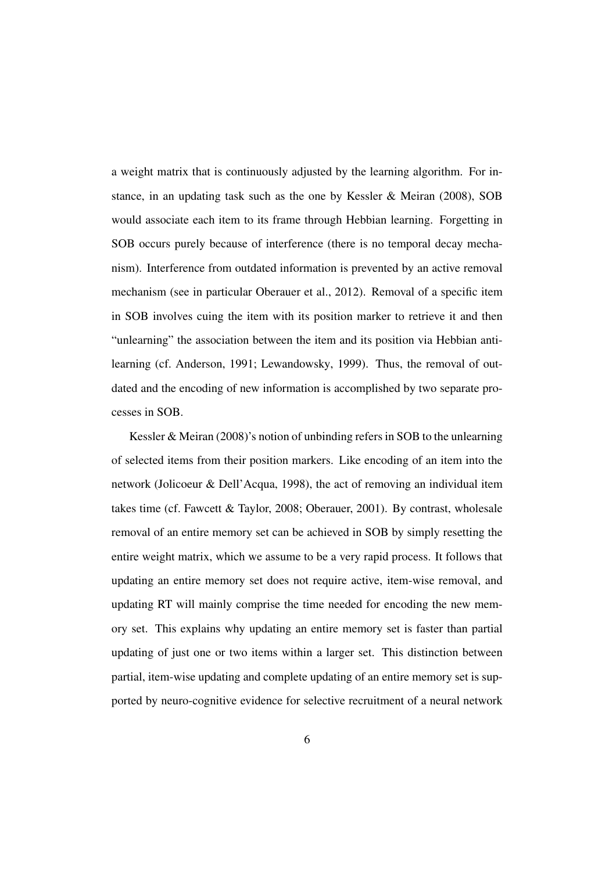a weight matrix that is continuously adjusted by the learning algorithm. For instance, in an updating task such as the one by Kessler & Meiran (2008), SOB would associate each item to its frame through Hebbian learning. Forgetting in SOB occurs purely because of interference (there is no temporal decay mechanism). Interference from outdated information is prevented by an active removal mechanism (see in particular Oberauer et al., 2012). Removal of a specific item in SOB involves cuing the item with its position marker to retrieve it and then "unlearning" the association between the item and its position via Hebbian antilearning (cf. Anderson, 1991; Lewandowsky, 1999). Thus, the removal of outdated and the encoding of new information is accomplished by two separate processes in SOB.

Kessler & Meiran (2008)'s notion of unbinding refers in SOB to the unlearning of selected items from their position markers. Like encoding of an item into the network (Jolicoeur & Dell'Acqua, 1998), the act of removing an individual item takes time (cf. Fawcett & Taylor, 2008; Oberauer, 2001). By contrast, wholesale removal of an entire memory set can be achieved in SOB by simply resetting the entire weight matrix, which we assume to be a very rapid process. It follows that updating an entire memory set does not require active, item-wise removal, and updating RT will mainly comprise the time needed for encoding the new memory set. This explains why updating an entire memory set is faster than partial updating of just one or two items within a larger set. This distinction between partial, item-wise updating and complete updating of an entire memory set is supported by neuro-cognitive evidence for selective recruitment of a neural network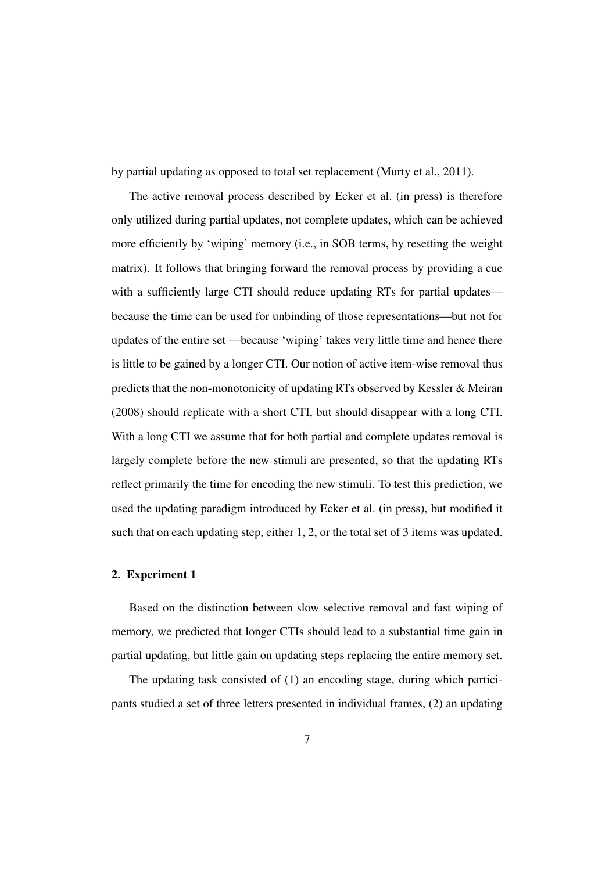by partial updating as opposed to total set replacement (Murty et al., 2011).

The active removal process described by Ecker et al. (in press) is therefore only utilized during partial updates, not complete updates, which can be achieved more efficiently by 'wiping' memory (i.e., in SOB terms, by resetting the weight matrix). It follows that bringing forward the removal process by providing a cue with a sufficiently large CTI should reduce updating RTs for partial updates because the time can be used for unbinding of those representations—but not for updates of the entire set —because 'wiping' takes very little time and hence there is little to be gained by a longer CTI. Our notion of active item-wise removal thus predicts that the non-monotonicity of updating RTs observed by Kessler & Meiran (2008) should replicate with a short CTI, but should disappear with a long CTI. With a long CTI we assume that for both partial and complete updates removal is largely complete before the new stimuli are presented, so that the updating RTs reflect primarily the time for encoding the new stimuli. To test this prediction, we used the updating paradigm introduced by Ecker et al. (in press), but modified it such that on each updating step, either 1, 2, or the total set of 3 items was updated.

## 2. Experiment 1

Based on the distinction between slow selective removal and fast wiping of memory, we predicted that longer CTIs should lead to a substantial time gain in partial updating, but little gain on updating steps replacing the entire memory set.

The updating task consisted of (1) an encoding stage, during which participants studied a set of three letters presented in individual frames, (2) an updating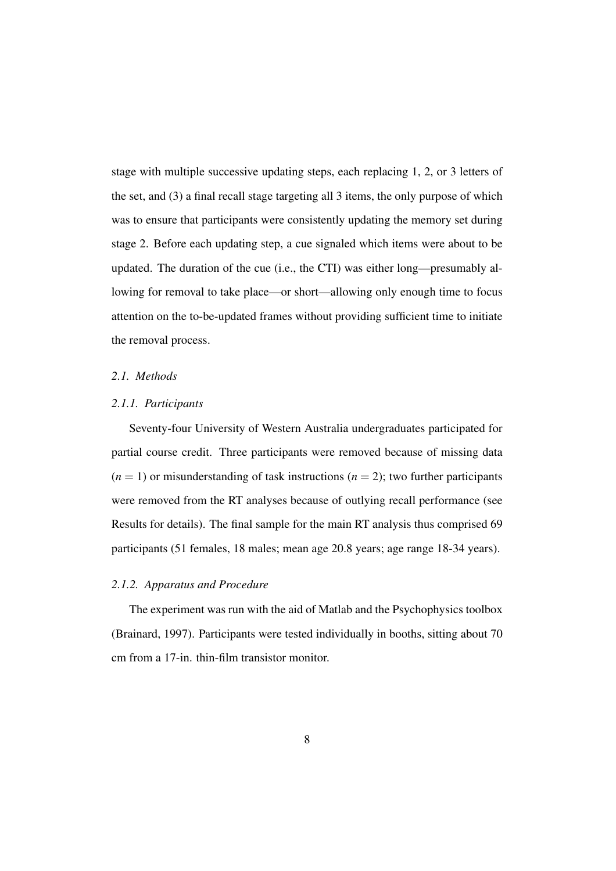stage with multiple successive updating steps, each replacing 1, 2, or 3 letters of the set, and (3) a final recall stage targeting all 3 items, the only purpose of which was to ensure that participants were consistently updating the memory set during stage 2. Before each updating step, a cue signaled which items were about to be updated. The duration of the cue (i.e., the CTI) was either long—presumably allowing for removal to take place—or short—allowing only enough time to focus attention on the to-be-updated frames without providing sufficient time to initiate the removal process.

## *2.1. Methods*

#### *2.1.1. Participants*

Seventy-four University of Western Australia undergraduates participated for partial course credit. Three participants were removed because of missing data  $(n = 1)$  or misunderstanding of task instructions  $(n = 2)$ ; two further participants were removed from the RT analyses because of outlying recall performance (see Results for details). The final sample for the main RT analysis thus comprised 69 participants (51 females, 18 males; mean age 20.8 years; age range 18-34 years).

## *2.1.2. Apparatus and Procedure*

The experiment was run with the aid of Matlab and the Psychophysics toolbox (Brainard, 1997). Participants were tested individually in booths, sitting about 70 cm from a 17-in. thin-film transistor monitor.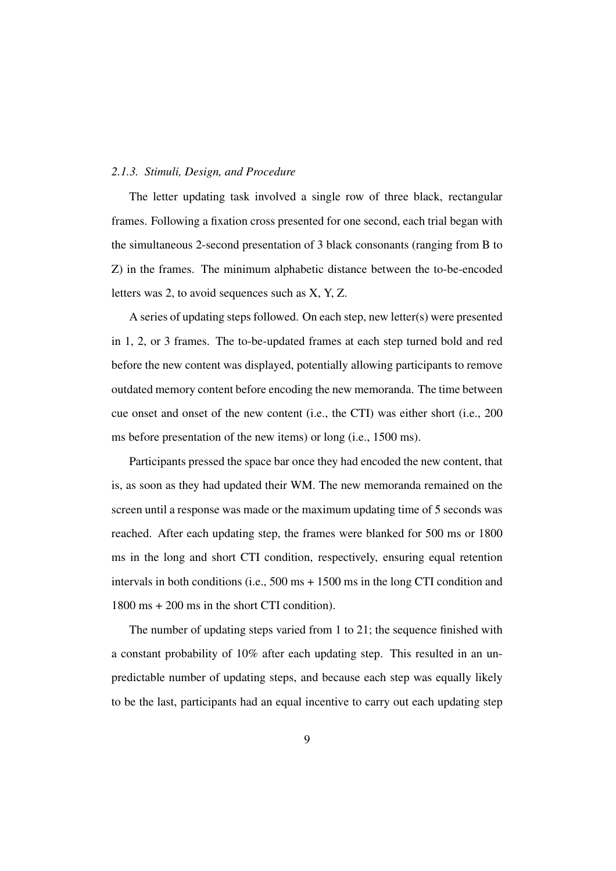#### *2.1.3. Stimuli, Design, and Procedure*

The letter updating task involved a single row of three black, rectangular frames. Following a fixation cross presented for one second, each trial began with the simultaneous 2-second presentation of 3 black consonants (ranging from B to Z) in the frames. The minimum alphabetic distance between the to-be-encoded letters was 2, to avoid sequences such as X, Y, Z.

A series of updating steps followed. On each step, new letter(s) were presented in 1, 2, or 3 frames. The to-be-updated frames at each step turned bold and red before the new content was displayed, potentially allowing participants to remove outdated memory content before encoding the new memoranda. The time between cue onset and onset of the new content (i.e., the CTI) was either short (i.e., 200 ms before presentation of the new items) or long (i.e., 1500 ms).

Participants pressed the space bar once they had encoded the new content, that is, as soon as they had updated their WM. The new memoranda remained on the screen until a response was made or the maximum updating time of 5 seconds was reached. After each updating step, the frames were blanked for 500 ms or 1800 ms in the long and short CTI condition, respectively, ensuring equal retention intervals in both conditions (i.e.,  $500 \text{ ms} + 1500 \text{ ms}$  in the long CTI condition and 1800 ms + 200 ms in the short CTI condition).

The number of updating steps varied from 1 to 21; the sequence finished with a constant probability of 10% after each updating step. This resulted in an unpredictable number of updating steps, and because each step was equally likely to be the last, participants had an equal incentive to carry out each updating step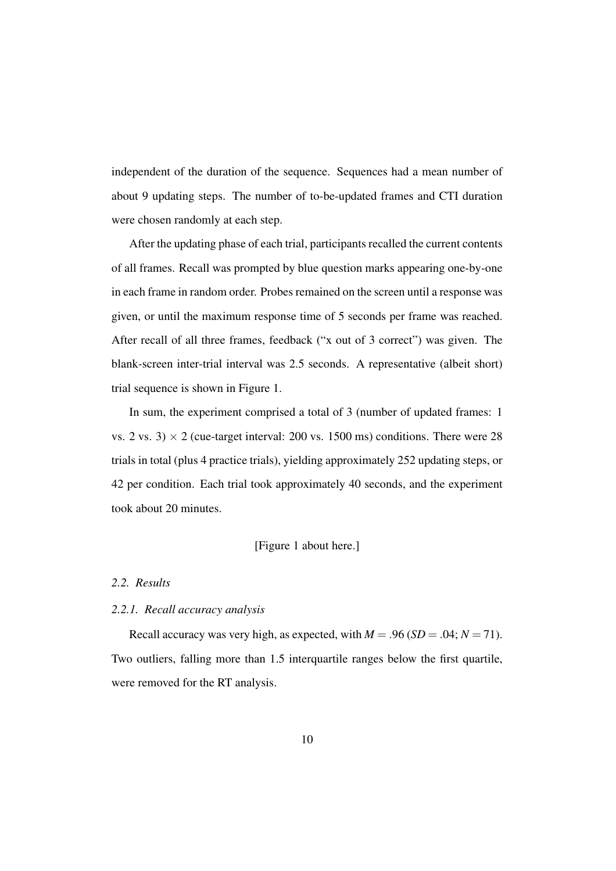independent of the duration of the sequence. Sequences had a mean number of about 9 updating steps. The number of to-be-updated frames and CTI duration were chosen randomly at each step.

After the updating phase of each trial, participants recalled the current contents of all frames. Recall was prompted by blue question marks appearing one-by-one in each frame in random order. Probes remained on the screen until a response was given, or until the maximum response time of 5 seconds per frame was reached. After recall of all three frames, feedback ("x out of 3 correct") was given. The blank-screen inter-trial interval was 2.5 seconds. A representative (albeit short) trial sequence is shown in Figure 1.

In sum, the experiment comprised a total of 3 (number of updated frames: 1 vs. 2 vs. 3)  $\times$  2 (cue-target interval: 200 vs. 1500 ms) conditions. There were 28 trials in total (plus 4 practice trials), yielding approximately 252 updating steps, or 42 per condition. Each trial took approximately 40 seconds, and the experiment took about 20 minutes.

#### [Figure 1 about here.]

# *2.2. Results*

#### *2.2.1. Recall accuracy analysis*

Recall accuracy was very high, as expected, with  $M = .96$  (*SD* = .04;  $N = 71$ ). Two outliers, falling more than 1.5 interquartile ranges below the first quartile, were removed for the RT analysis.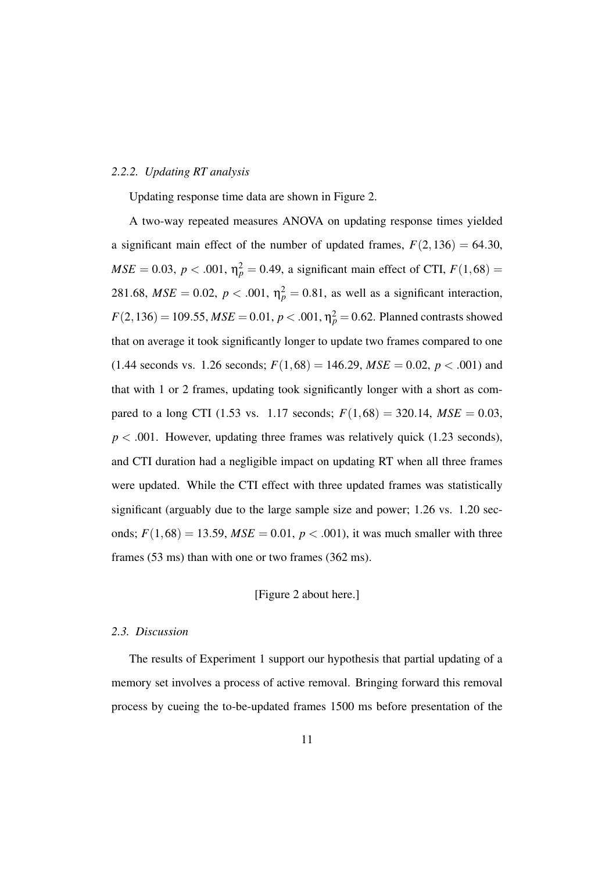#### *2.2.2. Updating RT analysis*

Updating response time data are shown in Figure 2.

A two-way repeated measures ANOVA on updating response times yielded a significant main effect of the number of updated frames,  $F(2,136) = 64.30$ , *MSE* = 0.03, *p* < .001,  $\eta_p^2 = 0.49$ , a significant main effect of CTI,  $F(1,68) =$ 281.68,  $MSE = 0.02$ ,  $p < .001$ ,  $\eta_p^2 = 0.81$ , as well as a significant interaction,  $F(2,136) = 109.55$ ,  $MSE = 0.01$ ,  $p < .001$ ,  $\eta_p^2 = 0.62$ . Planned contrasts showed that on average it took significantly longer to update two frames compared to one  $(1.44$  seconds vs. 1.26 seconds;  $F(1,68) = 146.29$ ,  $MSE = 0.02$ ,  $p < .001$ ) and that with 1 or 2 frames, updating took significantly longer with a short as compared to a long CTI (1.53 vs. 1.17 seconds;  $F(1,68) = 320.14$ ,  $MSE = 0.03$ ,  $p < .001$ . However, updating three frames was relatively quick (1.23 seconds), and CTI duration had a negligible impact on updating RT when all three frames were updated. While the CTI effect with three updated frames was statistically significant (arguably due to the large sample size and power; 1.26 vs. 1.20 seconds;  $F(1,68) = 13.59$ ,  $MSE = 0.01$ ,  $p < .001$ ), it was much smaller with three frames (53 ms) than with one or two frames (362 ms).

## [Figure 2 about here.]

## *2.3. Discussion*

The results of Experiment 1 support our hypothesis that partial updating of a memory set involves a process of active removal. Bringing forward this removal process by cueing the to-be-updated frames 1500 ms before presentation of the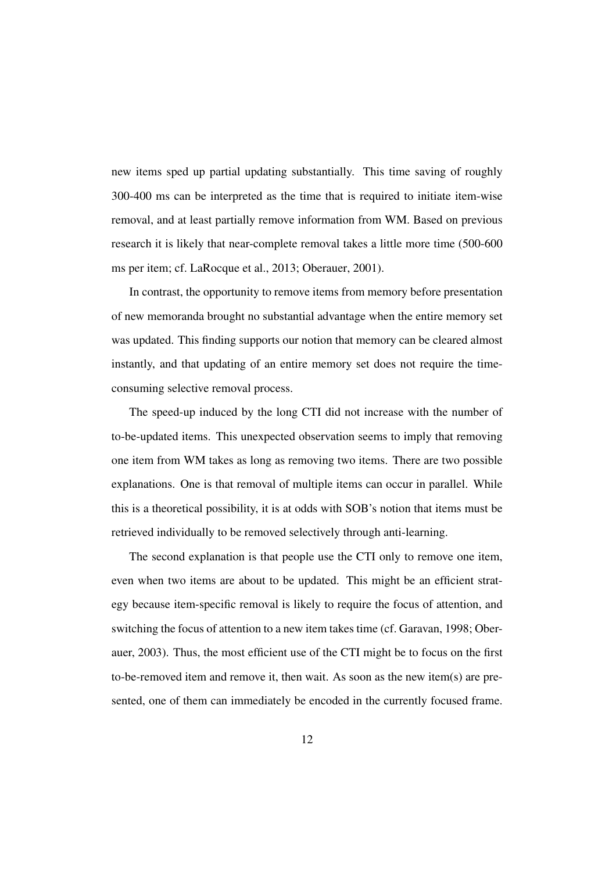new items sped up partial updating substantially. This time saving of roughly 300-400 ms can be interpreted as the time that is required to initiate item-wise removal, and at least partially remove information from WM. Based on previous research it is likely that near-complete removal takes a little more time (500-600 ms per item; cf. LaRocque et al., 2013; Oberauer, 2001).

In contrast, the opportunity to remove items from memory before presentation of new memoranda brought no substantial advantage when the entire memory set was updated. This finding supports our notion that memory can be cleared almost instantly, and that updating of an entire memory set does not require the timeconsuming selective removal process.

The speed-up induced by the long CTI did not increase with the number of to-be-updated items. This unexpected observation seems to imply that removing one item from WM takes as long as removing two items. There are two possible explanations. One is that removal of multiple items can occur in parallel. While this is a theoretical possibility, it is at odds with SOB's notion that items must be retrieved individually to be removed selectively through anti-learning.

The second explanation is that people use the CTI only to remove one item, even when two items are about to be updated. This might be an efficient strategy because item-specific removal is likely to require the focus of attention, and switching the focus of attention to a new item takes time (cf. Garavan, 1998; Oberauer, 2003). Thus, the most efficient use of the CTI might be to focus on the first to-be-removed item and remove it, then wait. As soon as the new item(s) are presented, one of them can immediately be encoded in the currently focused frame.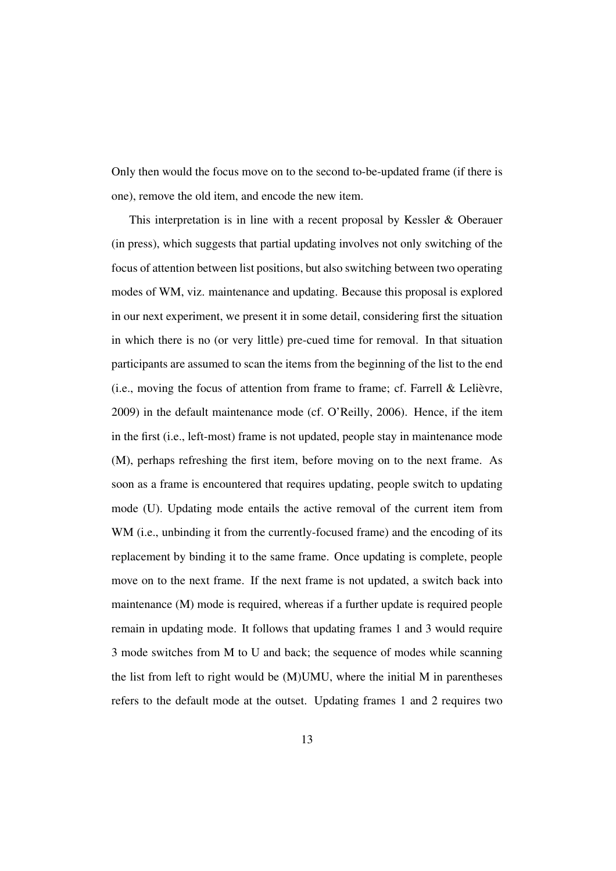Only then would the focus move on to the second to-be-updated frame (if there is one), remove the old item, and encode the new item.

This interpretation is in line with a recent proposal by Kessler & Oberauer (in press), which suggests that partial updating involves not only switching of the focus of attention between list positions, but also switching between two operating modes of WM, viz. maintenance and updating. Because this proposal is explored in our next experiment, we present it in some detail, considering first the situation in which there is no (or very little) pre-cued time for removal. In that situation participants are assumed to scan the items from the beginning of the list to the end  $(i.e., moving the focus of attention from frame to frame; cf. Farrell & Lelièvre,$ 2009) in the default maintenance mode (cf. O'Reilly, 2006). Hence, if the item in the first (i.e., left-most) frame is not updated, people stay in maintenance mode (M), perhaps refreshing the first item, before moving on to the next frame. As soon as a frame is encountered that requires updating, people switch to updating mode (U). Updating mode entails the active removal of the current item from WM (i.e., unbinding it from the currently-focused frame) and the encoding of its replacement by binding it to the same frame. Once updating is complete, people move on to the next frame. If the next frame is not updated, a switch back into maintenance (M) mode is required, whereas if a further update is required people remain in updating mode. It follows that updating frames 1 and 3 would require 3 mode switches from M to U and back; the sequence of modes while scanning the list from left to right would be (M)UMU, where the initial M in parentheses refers to the default mode at the outset. Updating frames 1 and 2 requires two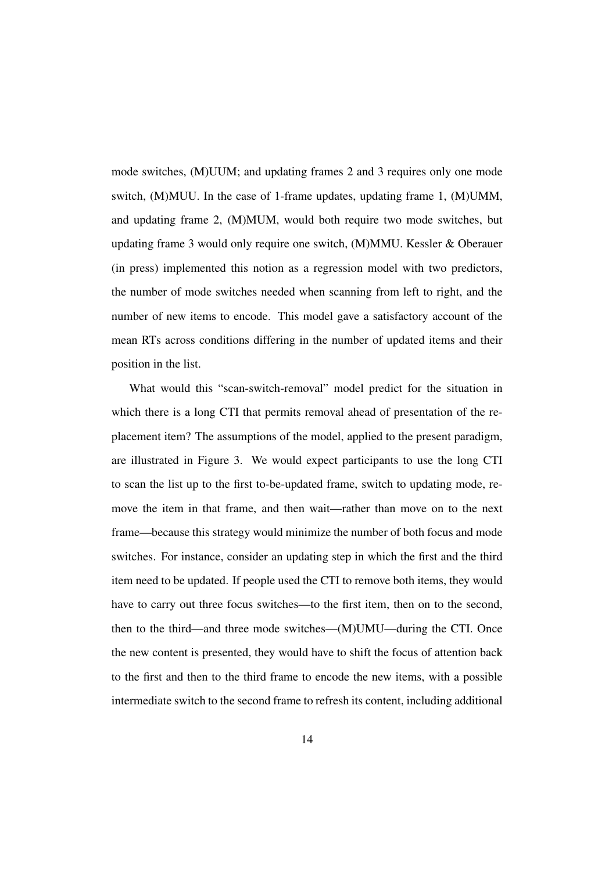mode switches, (M)UUM; and updating frames 2 and 3 requires only one mode switch, (M)MUU. In the case of 1-frame updates, updating frame 1, (M)UMM, and updating frame 2, (M)MUM, would both require two mode switches, but updating frame 3 would only require one switch, (M)MMU. Kessler & Oberauer (in press) implemented this notion as a regression model with two predictors, the number of mode switches needed when scanning from left to right, and the number of new items to encode. This model gave a satisfactory account of the mean RTs across conditions differing in the number of updated items and their position in the list.

What would this "scan-switch-removal" model predict for the situation in which there is a long CTI that permits removal ahead of presentation of the replacement item? The assumptions of the model, applied to the present paradigm, are illustrated in Figure 3. We would expect participants to use the long CTI to scan the list up to the first to-be-updated frame, switch to updating mode, remove the item in that frame, and then wait—rather than move on to the next frame—because this strategy would minimize the number of both focus and mode switches. For instance, consider an updating step in which the first and the third item need to be updated. If people used the CTI to remove both items, they would have to carry out three focus switches—to the first item, then on to the second, then to the third—and three mode switches—(M)UMU—during the CTI. Once the new content is presented, they would have to shift the focus of attention back to the first and then to the third frame to encode the new items, with a possible intermediate switch to the second frame to refresh its content, including additional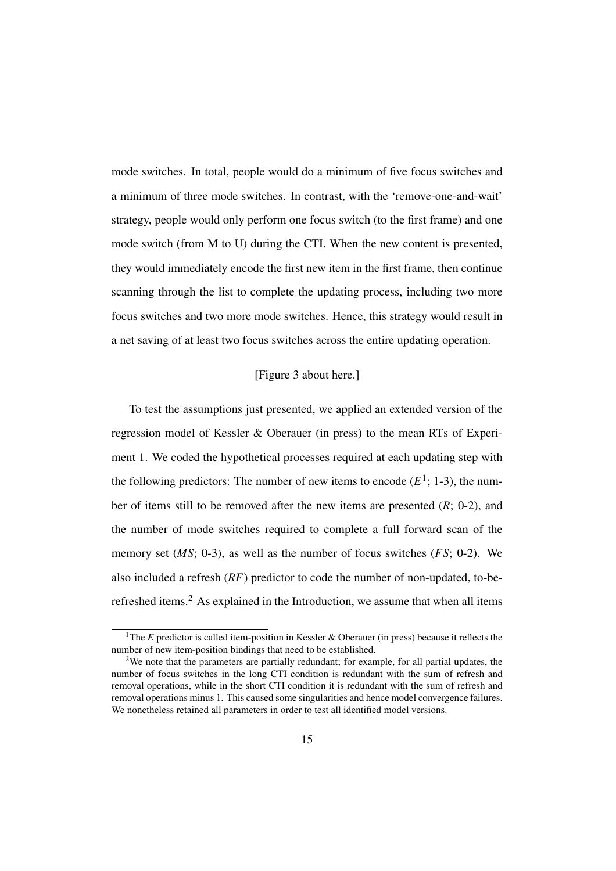mode switches. In total, people would do a minimum of five focus switches and a minimum of three mode switches. In contrast, with the 'remove-one-and-wait' strategy, people would only perform one focus switch (to the first frame) and one mode switch (from M to U) during the CTI. When the new content is presented, they would immediately encode the first new item in the first frame, then continue scanning through the list to complete the updating process, including two more focus switches and two more mode switches. Hence, this strategy would result in a net saving of at least two focus switches across the entire updating operation.

## [Figure 3 about here.]

To test the assumptions just presented, we applied an extended version of the regression model of Kessler & Oberauer (in press) to the mean RTs of Experiment 1. We coded the hypothetical processes required at each updating step with the following predictors: The number of new items to encode  $(E^1; 1-3)$ , the number of items still to be removed after the new items are presented (*R*; 0-2), and the number of mode switches required to complete a full forward scan of the memory set (*MS*; 0-3), as well as the number of focus switches (*FS*; 0-2). We also included a refresh (*RF*) predictor to code the number of non-updated, to-berefreshed items.<sup>2</sup> As explained in the Introduction, we assume that when all items

<sup>&</sup>lt;sup>1</sup>The *E* predictor is called item-position in Kessler & Oberauer (in press) because it reflects the number of new item-position bindings that need to be established.

<sup>2</sup>We note that the parameters are partially redundant; for example, for all partial updates, the number of focus switches in the long CTI condition is redundant with the sum of refresh and removal operations, while in the short CTI condition it is redundant with the sum of refresh and removal operations minus 1. This caused some singularities and hence model convergence failures. We nonetheless retained all parameters in order to test all identified model versions.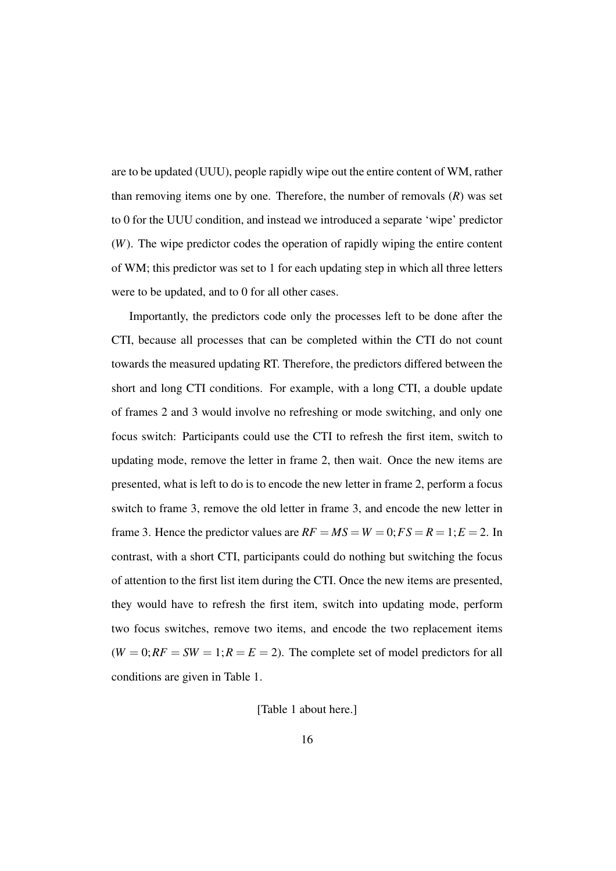are to be updated (UUU), people rapidly wipe out the entire content of WM, rather than removing items one by one. Therefore, the number of removals (*R*) was set to 0 for the UUU condition, and instead we introduced a separate 'wipe' predictor (*W*). The wipe predictor codes the operation of rapidly wiping the entire content of WM; this predictor was set to 1 for each updating step in which all three letters were to be updated, and to 0 for all other cases.

Importantly, the predictors code only the processes left to be done after the CTI, because all processes that can be completed within the CTI do not count towards the measured updating RT. Therefore, the predictors differed between the short and long CTI conditions. For example, with a long CTI, a double update of frames 2 and 3 would involve no refreshing or mode switching, and only one focus switch: Participants could use the CTI to refresh the first item, switch to updating mode, remove the letter in frame 2, then wait. Once the new items are presented, what is left to do is to encode the new letter in frame 2, perform a focus switch to frame 3, remove the old letter in frame 3, and encode the new letter in frame 3. Hence the predictor values are  $RF = MS = W = 0; FS = R = 1; E = 2$ . In contrast, with a short CTI, participants could do nothing but switching the focus of attention to the first list item during the CTI. Once the new items are presented, they would have to refresh the first item, switch into updating mode, perform two focus switches, remove two items, and encode the two replacement items  $(W = 0; RF = SW = 1; R = E = 2)$ . The complete set of model predictors for all conditions are given in Table 1.

[Table 1 about here.]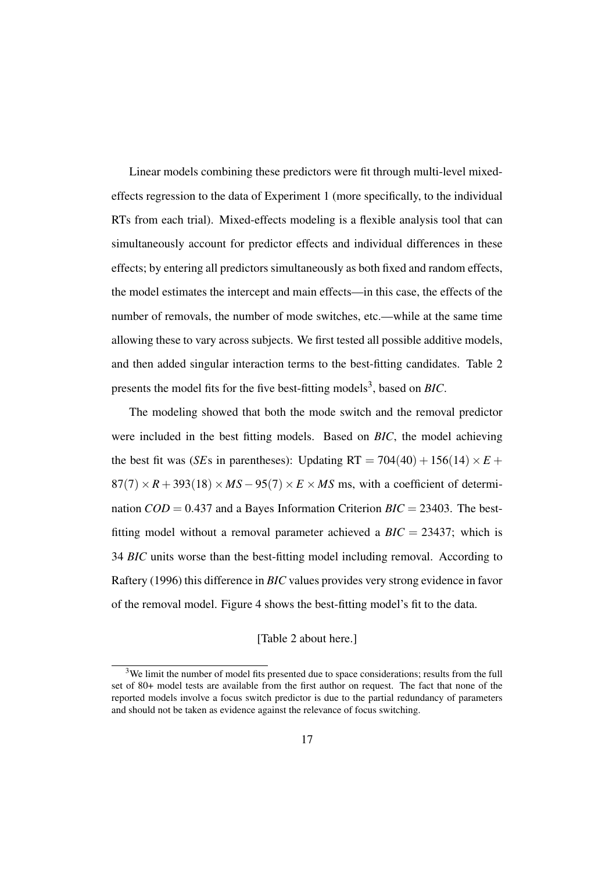Linear models combining these predictors were fit through multi-level mixedeffects regression to the data of Experiment 1 (more specifically, to the individual RTs from each trial). Mixed-effects modeling is a flexible analysis tool that can simultaneously account for predictor effects and individual differences in these effects; by entering all predictors simultaneously as both fixed and random effects, the model estimates the intercept and main effects—in this case, the effects of the number of removals, the number of mode switches, etc.—while at the same time allowing these to vary across subjects. We first tested all possible additive models, and then added singular interaction terms to the best-fitting candidates. Table 2 presents the model fits for the five best-fitting models<sup>3</sup>, based on *BIC*.

The modeling showed that both the mode switch and the removal predictor were included in the best fitting models. Based on *BIC*, the model achieving the best fit was (*SE*s in parentheses): Updating RT =  $704(40) + 156(14) \times E$  +  $87(7) \times R + 393(18) \times MS - 95(7) \times E \times MS$  ms, with a coefficient of determination  $COD = 0.437$  and a Bayes Information Criterion  $BIC = 23403$ . The bestfitting model without a removal parameter achieved a  $BIC = 23437$ ; which is 34 *BIC* units worse than the best-fitting model including removal. According to Raftery (1996) this difference in *BIC* values provides very strong evidence in favor of the removal model. Figure 4 shows the best-fitting model's fit to the data.

# [Table 2 about here.]

<sup>&</sup>lt;sup>3</sup>We limit the number of model fits presented due to space considerations; results from the full set of 80+ model tests are available from the first author on request. The fact that none of the reported models involve a focus switch predictor is due to the partial redundancy of parameters and should not be taken as evidence against the relevance of focus switching.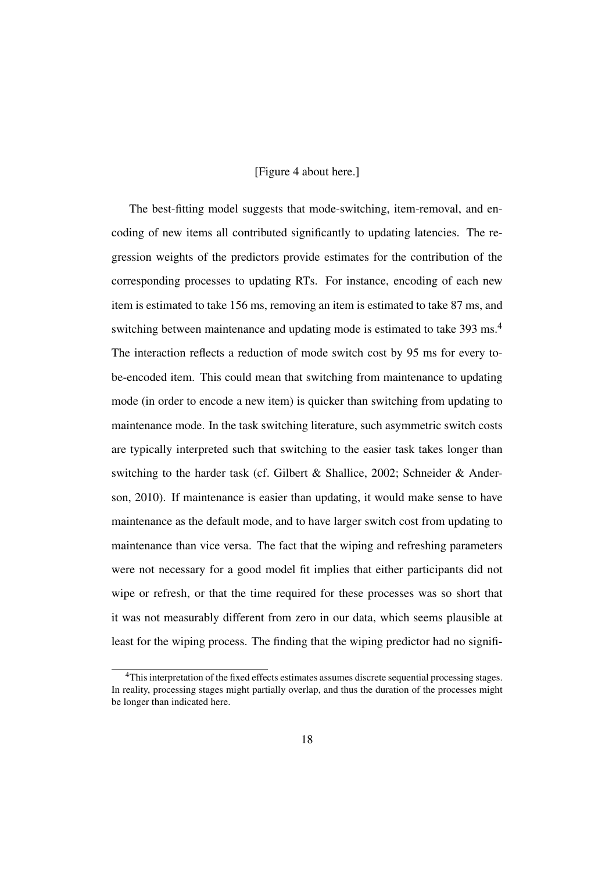## [Figure 4 about here.]

The best-fitting model suggests that mode-switching, item-removal, and encoding of new items all contributed significantly to updating latencies. The regression weights of the predictors provide estimates for the contribution of the corresponding processes to updating RTs. For instance, encoding of each new item is estimated to take 156 ms, removing an item is estimated to take 87 ms, and switching between maintenance and updating mode is estimated to take 393 ms.<sup>4</sup> The interaction reflects a reduction of mode switch cost by 95 ms for every tobe-encoded item. This could mean that switching from maintenance to updating mode (in order to encode a new item) is quicker than switching from updating to maintenance mode. In the task switching literature, such asymmetric switch costs are typically interpreted such that switching to the easier task takes longer than switching to the harder task (cf. Gilbert & Shallice, 2002; Schneider & Anderson, 2010). If maintenance is easier than updating, it would make sense to have maintenance as the default mode, and to have larger switch cost from updating to maintenance than vice versa. The fact that the wiping and refreshing parameters were not necessary for a good model fit implies that either participants did not wipe or refresh, or that the time required for these processes was so short that it was not measurably different from zero in our data, which seems plausible at least for the wiping process. The finding that the wiping predictor had no signifi-

<sup>&</sup>lt;sup>4</sup>This interpretation of the fixed effects estimates assumes discrete sequential processing stages. In reality, processing stages might partially overlap, and thus the duration of the processes might be longer than indicated here.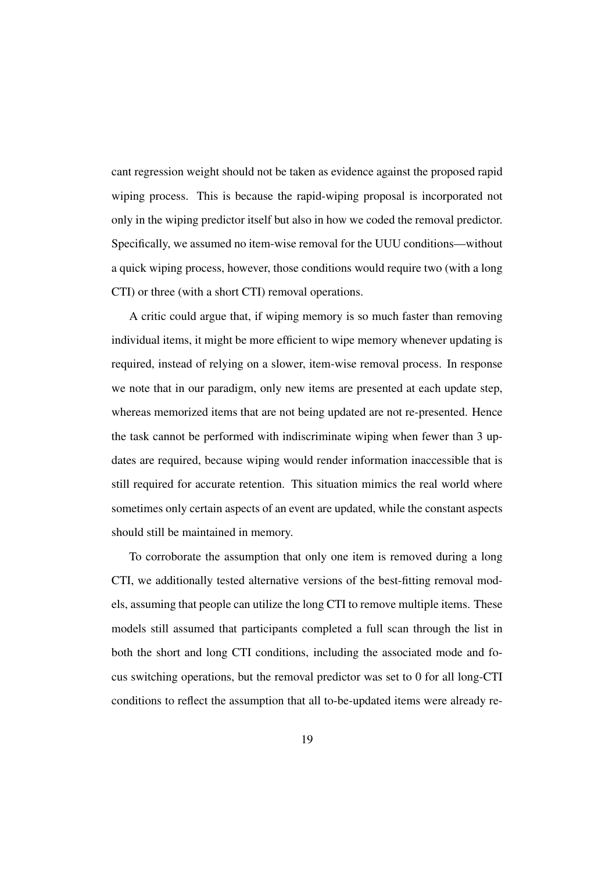cant regression weight should not be taken as evidence against the proposed rapid wiping process. This is because the rapid-wiping proposal is incorporated not only in the wiping predictor itself but also in how we coded the removal predictor. Specifically, we assumed no item-wise removal for the UUU conditions—without a quick wiping process, however, those conditions would require two (with a long CTI) or three (with a short CTI) removal operations.

A critic could argue that, if wiping memory is so much faster than removing individual items, it might be more efficient to wipe memory whenever updating is required, instead of relying on a slower, item-wise removal process. In response we note that in our paradigm, only new items are presented at each update step, whereas memorized items that are not being updated are not re-presented. Hence the task cannot be performed with indiscriminate wiping when fewer than 3 updates are required, because wiping would render information inaccessible that is still required for accurate retention. This situation mimics the real world where sometimes only certain aspects of an event are updated, while the constant aspects should still be maintained in memory.

To corroborate the assumption that only one item is removed during a long CTI, we additionally tested alternative versions of the best-fitting removal models, assuming that people can utilize the long CTI to remove multiple items. These models still assumed that participants completed a full scan through the list in both the short and long CTI conditions, including the associated mode and focus switching operations, but the removal predictor was set to 0 for all long-CTI conditions to reflect the assumption that all to-be-updated items were already re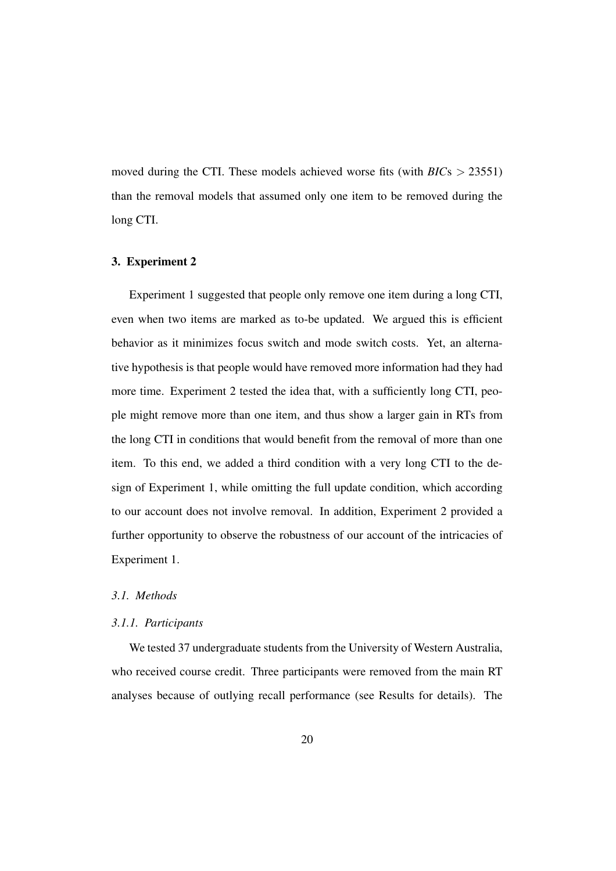moved during the CTI. These models achieved worse fits (with *BIC*s > 23551) than the removal models that assumed only one item to be removed during the long CTI.

# 3. Experiment 2

Experiment 1 suggested that people only remove one item during a long CTI, even when two items are marked as to-be updated. We argued this is efficient behavior as it minimizes focus switch and mode switch costs. Yet, an alternative hypothesis is that people would have removed more information had they had more time. Experiment 2 tested the idea that, with a sufficiently long CTI, people might remove more than one item, and thus show a larger gain in RTs from the long CTI in conditions that would benefit from the removal of more than one item. To this end, we added a third condition with a very long CTI to the design of Experiment 1, while omitting the full update condition, which according to our account does not involve removal. In addition, Experiment 2 provided a further opportunity to observe the robustness of our account of the intricacies of Experiment 1.

# *3.1. Methods*

## *3.1.1. Participants*

We tested 37 undergraduate students from the University of Western Australia, who received course credit. Three participants were removed from the main RT analyses because of outlying recall performance (see Results for details). The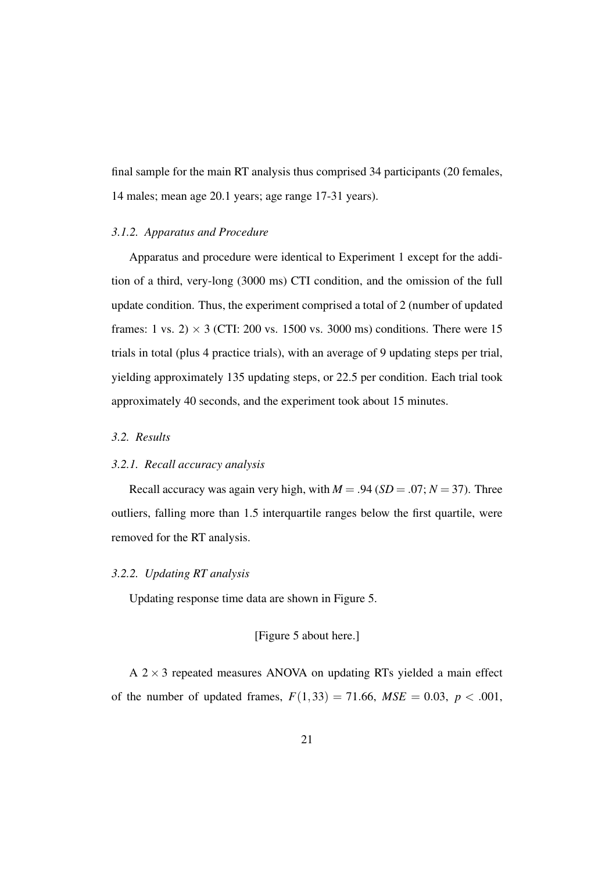final sample for the main RT analysis thus comprised 34 participants (20 females, 14 males; mean age 20.1 years; age range 17-31 years).

#### *3.1.2. Apparatus and Procedure*

Apparatus and procedure were identical to Experiment 1 except for the addition of a third, very-long (3000 ms) CTI condition, and the omission of the full update condition. Thus, the experiment comprised a total of 2 (number of updated frames: 1 vs. 2)  $\times$  3 (CTI: 200 vs. 1500 vs. 3000 ms) conditions. There were 15 trials in total (plus 4 practice trials), with an average of 9 updating steps per trial, yielding approximately 135 updating steps, or 22.5 per condition. Each trial took approximately 40 seconds, and the experiment took about 15 minutes.

## *3.2. Results*

#### *3.2.1. Recall accuracy analysis*

Recall accuracy was again very high, with  $M = .94$  (*SD* = .07;  $N = 37$ ). Three outliers, falling more than 1.5 interquartile ranges below the first quartile, were removed for the RT analysis.

## *3.2.2. Updating RT analysis*

Updating response time data are shown in Figure 5.

[Figure 5 about here.]

 $A$  2  $\times$  3 repeated measures ANOVA on updating RTs yielded a main effect of the number of updated frames,  $F(1,33) = 71.66$ ,  $MSE = 0.03$ ,  $p < .001$ ,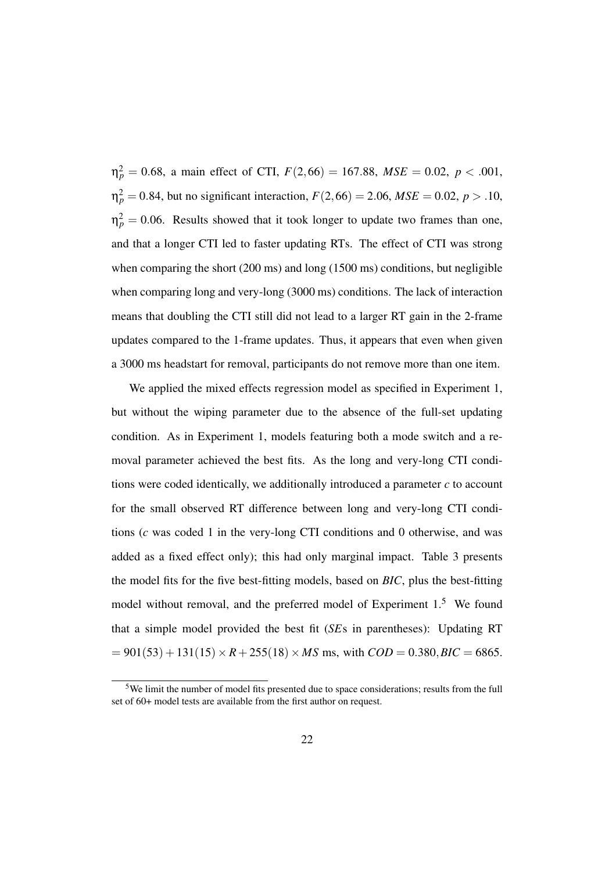$\eta_p^2 = 0.68$ , a main effect of CTI,  $F(2,66) = 167.88$ ,  $MSE = 0.02$ ,  $p < .001$ ,  $n_p^2 = 0.84$ , but no significant interaction,  $F(2,66) = 2.06$ ,  $MSE = 0.02$ ,  $p > .10$ ,  $\eta_p^2 = 0.06$ . Results showed that it took longer to update two frames than one, and that a longer CTI led to faster updating RTs. The effect of CTI was strong when comparing the short (200 ms) and long (1500 ms) conditions, but negligible when comparing long and very-long (3000 ms) conditions. The lack of interaction means that doubling the CTI still did not lead to a larger RT gain in the 2-frame updates compared to the 1-frame updates. Thus, it appears that even when given a 3000 ms headstart for removal, participants do not remove more than one item.

We applied the mixed effects regression model as specified in Experiment 1, but without the wiping parameter due to the absence of the full-set updating condition. As in Experiment 1, models featuring both a mode switch and a removal parameter achieved the best fits. As the long and very-long CTI conditions were coded identically, we additionally introduced a parameter *c* to account for the small observed RT difference between long and very-long CTI conditions (*c* was coded 1 in the very-long CTI conditions and 0 otherwise, and was added as a fixed effect only); this had only marginal impact. Table 3 presents the model fits for the five best-fitting models, based on *BIC*, plus the best-fitting model without removal, and the preferred model of Experiment 1.<sup>5</sup> We found that a simple model provided the best fit (*SE*s in parentheses): Updating RT  $= 901(53) + 131(15) \times R + 255(18) \times MS$  ms, with  $COD = 0.380, BIC = 6865$ .

<sup>5</sup>We limit the number of model fits presented due to space considerations; results from the full set of 60+ model tests are available from the first author on request.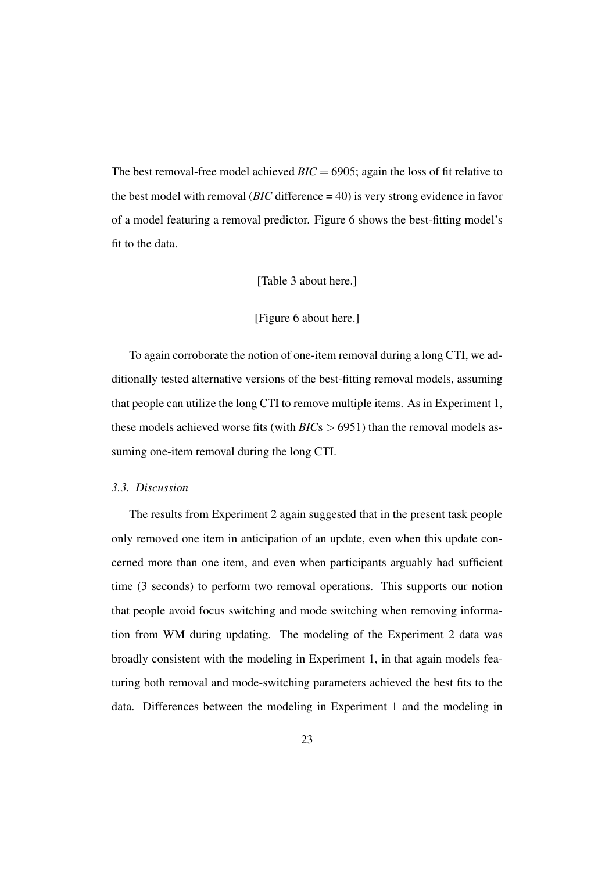The best removal-free model achieved *BIC* = 6905; again the loss of fit relative to the best model with removal (*BIC* difference = 40) is very strong evidence in favor of a model featuring a removal predictor. Figure 6 shows the best-fitting model's fit to the data.

#### [Table 3 about here.]

## [Figure 6 about here.]

To again corroborate the notion of one-item removal during a long CTI, we additionally tested alternative versions of the best-fitting removal models, assuming that people can utilize the long CTI to remove multiple items. As in Experiment 1, these models achieved worse fits (with *BIC*s > 6951) than the removal models assuming one-item removal during the long CTI.

#### *3.3. Discussion*

The results from Experiment 2 again suggested that in the present task people only removed one item in anticipation of an update, even when this update concerned more than one item, and even when participants arguably had sufficient time (3 seconds) to perform two removal operations. This supports our notion that people avoid focus switching and mode switching when removing information from WM during updating. The modeling of the Experiment 2 data was broadly consistent with the modeling in Experiment 1, in that again models featuring both removal and mode-switching parameters achieved the best fits to the data. Differences between the modeling in Experiment 1 and the modeling in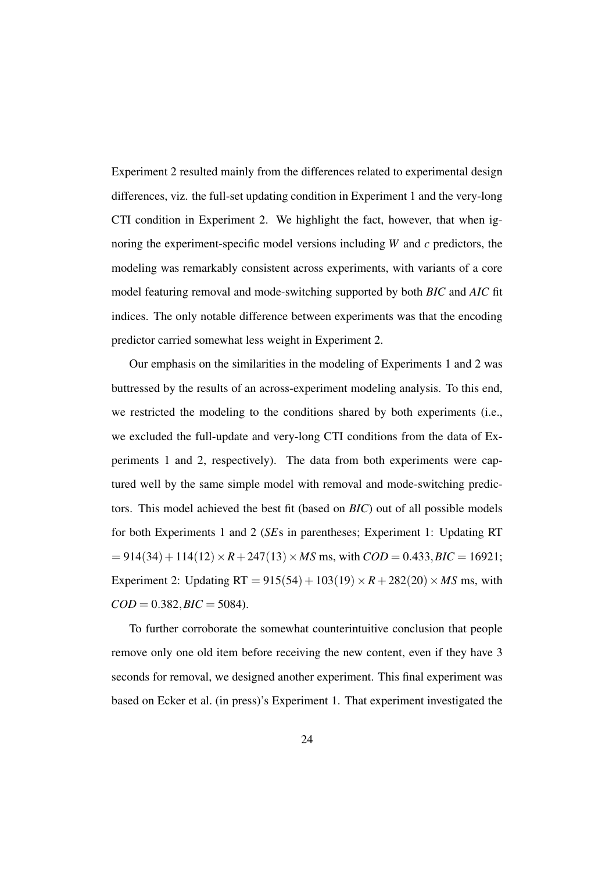Experiment 2 resulted mainly from the differences related to experimental design differences, viz. the full-set updating condition in Experiment 1 and the very-long CTI condition in Experiment 2. We highlight the fact, however, that when ignoring the experiment-specific model versions including *W* and *c* predictors, the modeling was remarkably consistent across experiments, with variants of a core model featuring removal and mode-switching supported by both *BIC* and *AIC* fit indices. The only notable difference between experiments was that the encoding predictor carried somewhat less weight in Experiment 2.

Our emphasis on the similarities in the modeling of Experiments 1 and 2 was buttressed by the results of an across-experiment modeling analysis. To this end, we restricted the modeling to the conditions shared by both experiments (i.e., we excluded the full-update and very-long CTI conditions from the data of Experiments 1 and 2, respectively). The data from both experiments were captured well by the same simple model with removal and mode-switching predictors. This model achieved the best fit (based on *BIC*) out of all possible models for both Experiments 1 and 2 (*SE*s in parentheses; Experiment 1: Updating RT  $= 914(34) + 114(12) \times R + 247(13) \times MS$  ms, with  $COD = 0.433$ ,  $BIC = 16921$ ; Experiment 2: Updating  $RT = 915(54) + 103(19) \times R + 282(20) \times MS$  ms, with  $COD = 0.382, BIC = 5084.$ 

To further corroborate the somewhat counterintuitive conclusion that people remove only one old item before receiving the new content, even if they have 3 seconds for removal, we designed another experiment. This final experiment was based on Ecker et al. (in press)'s Experiment 1. That experiment investigated the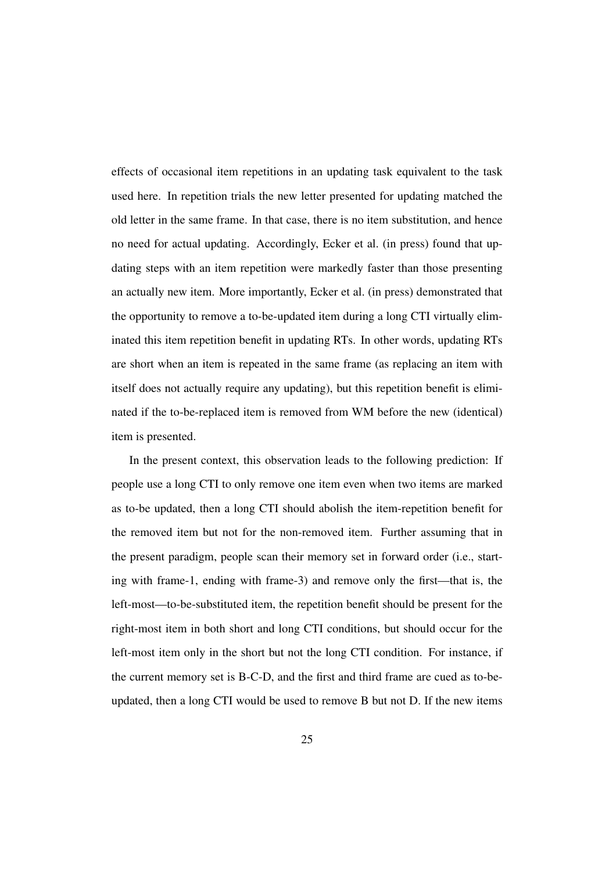effects of occasional item repetitions in an updating task equivalent to the task used here. In repetition trials the new letter presented for updating matched the old letter in the same frame. In that case, there is no item substitution, and hence no need for actual updating. Accordingly, Ecker et al. (in press) found that updating steps with an item repetition were markedly faster than those presenting an actually new item. More importantly, Ecker et al. (in press) demonstrated that the opportunity to remove a to-be-updated item during a long CTI virtually eliminated this item repetition benefit in updating RTs. In other words, updating RTs are short when an item is repeated in the same frame (as replacing an item with itself does not actually require any updating), but this repetition benefit is eliminated if the to-be-replaced item is removed from WM before the new (identical) item is presented.

In the present context, this observation leads to the following prediction: If people use a long CTI to only remove one item even when two items are marked as to-be updated, then a long CTI should abolish the item-repetition benefit for the removed item but not for the non-removed item. Further assuming that in the present paradigm, people scan their memory set in forward order (i.e., starting with frame-1, ending with frame-3) and remove only the first—that is, the left-most—to-be-substituted item, the repetition benefit should be present for the right-most item in both short and long CTI conditions, but should occur for the left-most item only in the short but not the long CTI condition. For instance, if the current memory set is B-C-D, and the first and third frame are cued as to-beupdated, then a long CTI would be used to remove B but not D. If the new items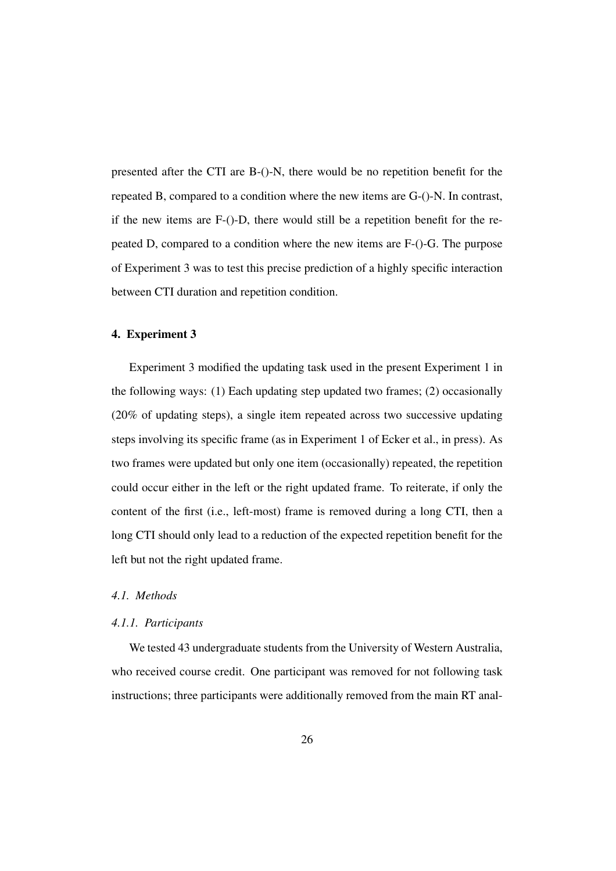presented after the CTI are B-()-N, there would be no repetition benefit for the repeated B, compared to a condition where the new items are G-()-N. In contrast, if the new items are F-()-D, there would still be a repetition benefit for the repeated D, compared to a condition where the new items are F-()-G. The purpose of Experiment 3 was to test this precise prediction of a highly specific interaction between CTI duration and repetition condition.

## 4. Experiment 3

Experiment 3 modified the updating task used in the present Experiment 1 in the following ways: (1) Each updating step updated two frames; (2) occasionally (20% of updating steps), a single item repeated across two successive updating steps involving its specific frame (as in Experiment 1 of Ecker et al., in press). As two frames were updated but only one item (occasionally) repeated, the repetition could occur either in the left or the right updated frame. To reiterate, if only the content of the first (i.e., left-most) frame is removed during a long CTI, then a long CTI should only lead to a reduction of the expected repetition benefit for the left but not the right updated frame.

# *4.1. Methods*

#### *4.1.1. Participants*

We tested 43 undergraduate students from the University of Western Australia, who received course credit. One participant was removed for not following task instructions; three participants were additionally removed from the main RT anal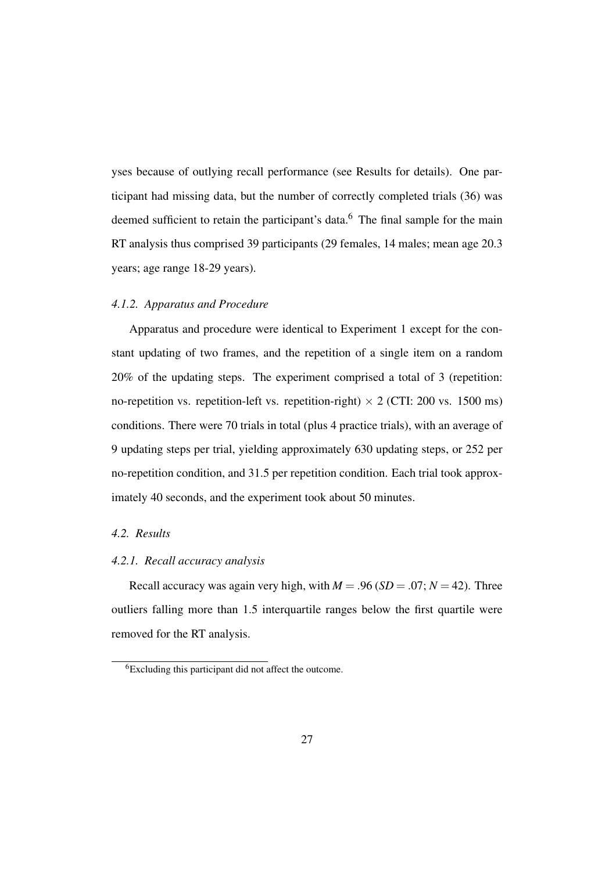yses because of outlying recall performance (see Results for details). One participant had missing data, but the number of correctly completed trials (36) was deemed sufficient to retain the participant's data.<sup>6</sup> The final sample for the main RT analysis thus comprised 39 participants (29 females, 14 males; mean age 20.3 years; age range 18-29 years).

## *4.1.2. Apparatus and Procedure*

Apparatus and procedure were identical to Experiment 1 except for the constant updating of two frames, and the repetition of a single item on a random 20% of the updating steps. The experiment comprised a total of 3 (repetition: no-repetition vs. repetition-left vs. repetition-right)  $\times$  2 (CTI: 200 vs. 1500 ms) conditions. There were 70 trials in total (plus 4 practice trials), with an average of 9 updating steps per trial, yielding approximately 630 updating steps, or 252 per no-repetition condition, and 31.5 per repetition condition. Each trial took approximately 40 seconds, and the experiment took about 50 minutes.

#### *4.2. Results*

## *4.2.1. Recall accuracy analysis*

Recall accuracy was again very high, with  $M = .96$  (*SD* = .07;  $N = 42$ ). Three outliers falling more than 1.5 interquartile ranges below the first quartile were removed for the RT analysis.

<sup>6</sup>Excluding this participant did not affect the outcome.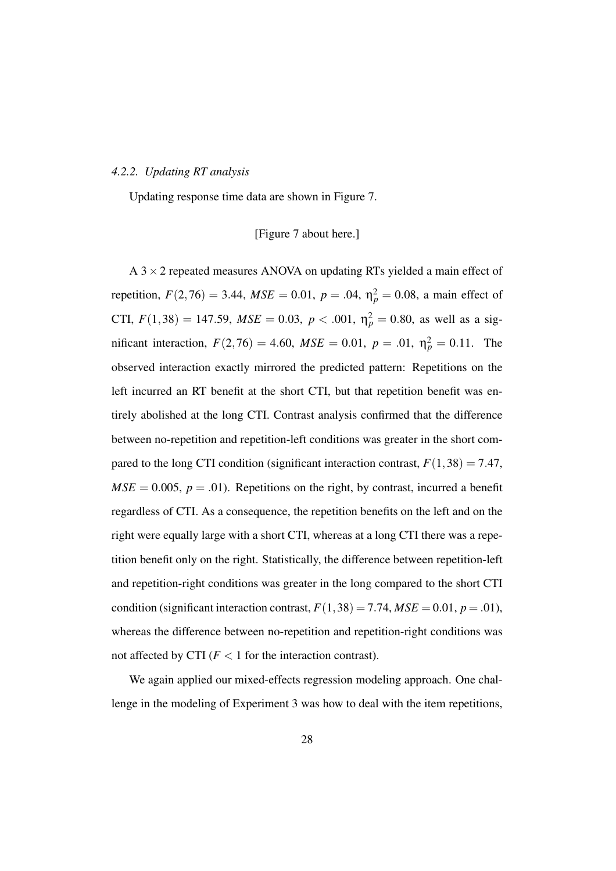#### *4.2.2. Updating RT analysis*

Updating response time data are shown in Figure 7.

## [Figure 7 about here.]

A  $3 \times 2$  repeated measures ANOVA on updating RTs yielded a main effect of repetition,  $F(2, 76) = 3.44$ ,  $MSE = 0.01$ ,  $p = .04$ ,  $\eta_p^2 = 0.08$ , a main effect of CTI,  $F(1,38) = 147.59$ ,  $MSE = 0.03$ ,  $p < .001$ ,  $\eta_p^2 = 0.80$ , as well as a significant interaction,  $F(2,76) = 4.60$ ,  $MSE = 0.01$ ,  $p = .01$ ,  $\eta_p^2 = 0.11$ . The observed interaction exactly mirrored the predicted pattern: Repetitions on the left incurred an RT benefit at the short CTI, but that repetition benefit was entirely abolished at the long CTI. Contrast analysis confirmed that the difference between no-repetition and repetition-left conditions was greater in the short compared to the long CTI condition (significant interaction contrast,  $F(1,38) = 7.47$ ,  $MSE = 0.005$ ,  $p = .01$ ). Repetitions on the right, by contrast, incurred a benefit regardless of CTI. As a consequence, the repetition benefits on the left and on the right were equally large with a short CTI, whereas at a long CTI there was a repetition benefit only on the right. Statistically, the difference between repetition-left and repetition-right conditions was greater in the long compared to the short CTI condition (significant interaction contrast,  $F(1,38) = 7.74$ ,  $MSE = 0.01$ ,  $p = .01$ ), whereas the difference between no-repetition and repetition-right conditions was not affected by CTI  $(F < 1$  for the interaction contrast).

We again applied our mixed-effects regression modeling approach. One challenge in the modeling of Experiment 3 was how to deal with the item repetitions,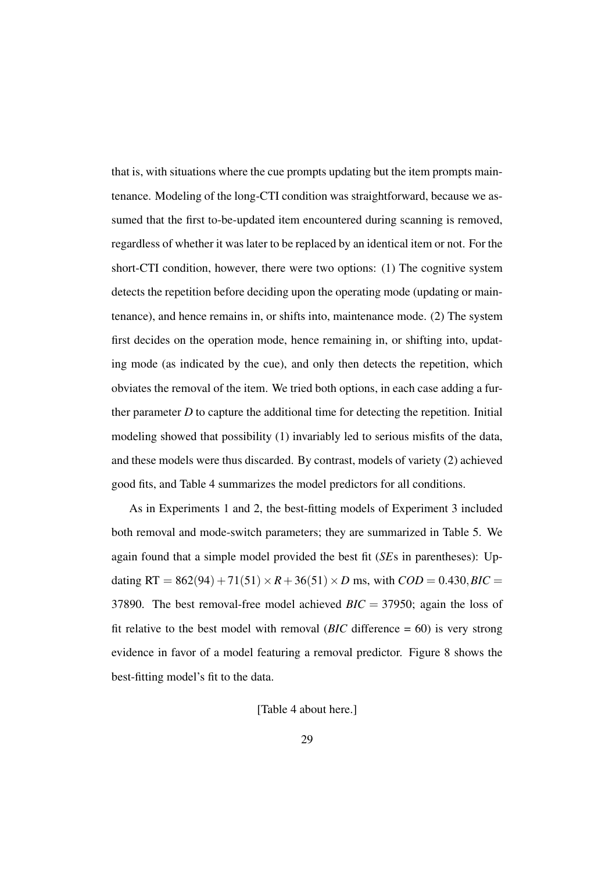that is, with situations where the cue prompts updating but the item prompts maintenance. Modeling of the long-CTI condition was straightforward, because we assumed that the first to-be-updated item encountered during scanning is removed, regardless of whether it was later to be replaced by an identical item or not. For the short-CTI condition, however, there were two options: (1) The cognitive system detects the repetition before deciding upon the operating mode (updating or maintenance), and hence remains in, or shifts into, maintenance mode. (2) The system first decides on the operation mode, hence remaining in, or shifting into, updating mode (as indicated by the cue), and only then detects the repetition, which obviates the removal of the item. We tried both options, in each case adding a further parameter  $D$  to capture the additional time for detecting the repetition. Initial modeling showed that possibility (1) invariably led to serious misfits of the data, and these models were thus discarded. By contrast, models of variety (2) achieved good fits, and Table 4 summarizes the model predictors for all conditions.

As in Experiments 1 and 2, the best-fitting models of Experiment 3 included both removal and mode-switch parameters; they are summarized in Table 5. We again found that a simple model provided the best fit (*SE*s in parentheses): Updating RT =  $862(94) + 71(51) \times R + 36(51) \times D$  ms, with  $COD = 0.430$ ,  $BIC =$ 37890. The best removal-free model achieved *BIC* = 37950; again the loss of fit relative to the best model with removal ( $BIC$  difference  $= 60$ ) is very strong evidence in favor of a model featuring a removal predictor. Figure 8 shows the best-fitting model's fit to the data.

## [Table 4 about here.]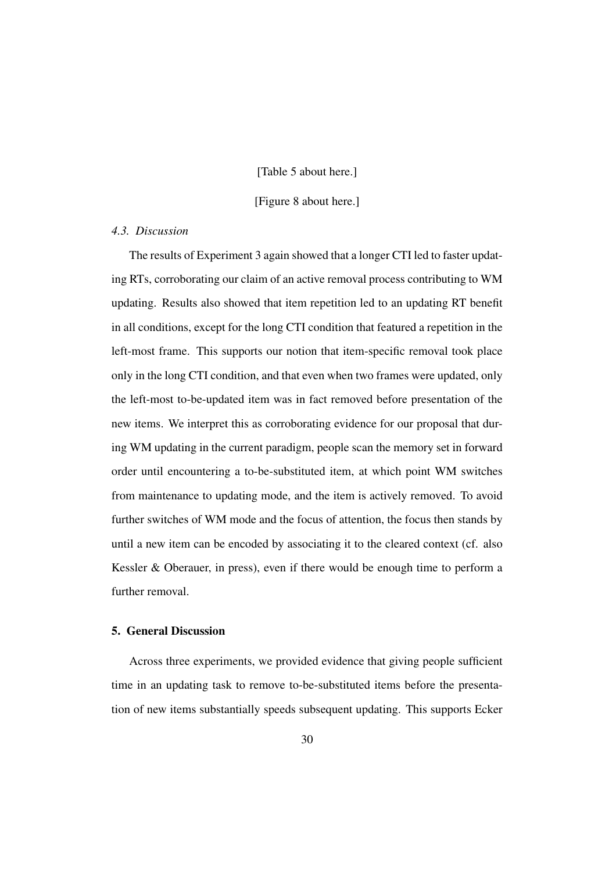#### [Table 5 about here.]

[Figure 8 about here.]

## *4.3. Discussion*

The results of Experiment 3 again showed that a longer CTI led to faster updating RTs, corroborating our claim of an active removal process contributing to WM updating. Results also showed that item repetition led to an updating RT benefit in all conditions, except for the long CTI condition that featured a repetition in the left-most frame. This supports our notion that item-specific removal took place only in the long CTI condition, and that even when two frames were updated, only the left-most to-be-updated item was in fact removed before presentation of the new items. We interpret this as corroborating evidence for our proposal that during WM updating in the current paradigm, people scan the memory set in forward order until encountering a to-be-substituted item, at which point WM switches from maintenance to updating mode, and the item is actively removed. To avoid further switches of WM mode and the focus of attention, the focus then stands by until a new item can be encoded by associating it to the cleared context (cf. also Kessler & Oberauer, in press), even if there would be enough time to perform a further removal.

# 5. General Discussion

Across three experiments, we provided evidence that giving people sufficient time in an updating task to remove to-be-substituted items before the presentation of new items substantially speeds subsequent updating. This supports Ecker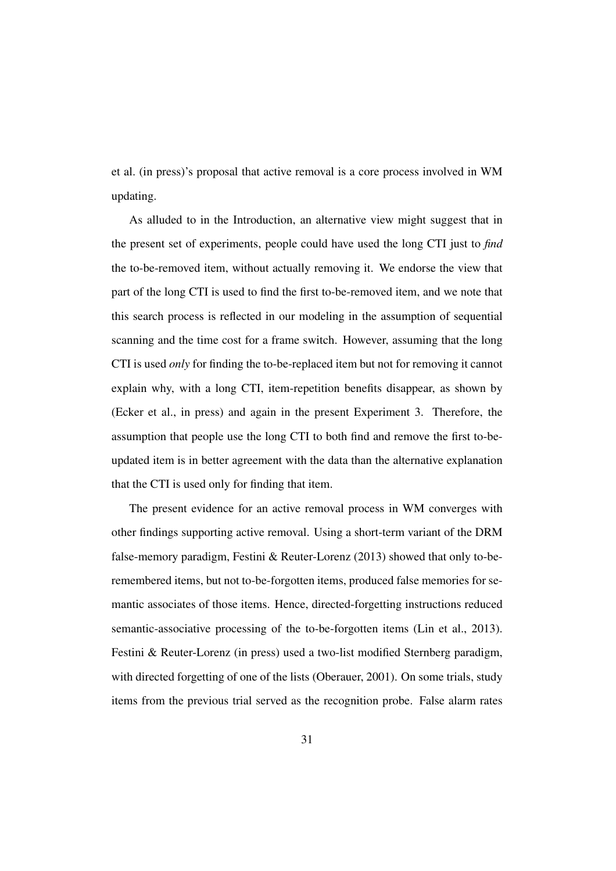et al. (in press)'s proposal that active removal is a core process involved in WM updating.

As alluded to in the Introduction, an alternative view might suggest that in the present set of experiments, people could have used the long CTI just to *find* the to-be-removed item, without actually removing it. We endorse the view that part of the long CTI is used to find the first to-be-removed item, and we note that this search process is reflected in our modeling in the assumption of sequential scanning and the time cost for a frame switch. However, assuming that the long CTI is used *only* for finding the to-be-replaced item but not for removing it cannot explain why, with a long CTI, item-repetition benefits disappear, as shown by (Ecker et al., in press) and again in the present Experiment 3. Therefore, the assumption that people use the long CTI to both find and remove the first to-beupdated item is in better agreement with the data than the alternative explanation that the CTI is used only for finding that item.

The present evidence for an active removal process in WM converges with other findings supporting active removal. Using a short-term variant of the DRM false-memory paradigm, Festini & Reuter-Lorenz (2013) showed that only to-beremembered items, but not to-be-forgotten items, produced false memories for semantic associates of those items. Hence, directed-forgetting instructions reduced semantic-associative processing of the to-be-forgotten items (Lin et al., 2013). Festini & Reuter-Lorenz (in press) used a two-list modified Sternberg paradigm, with directed forgetting of one of the lists (Oberauer, 2001). On some trials, study items from the previous trial served as the recognition probe. False alarm rates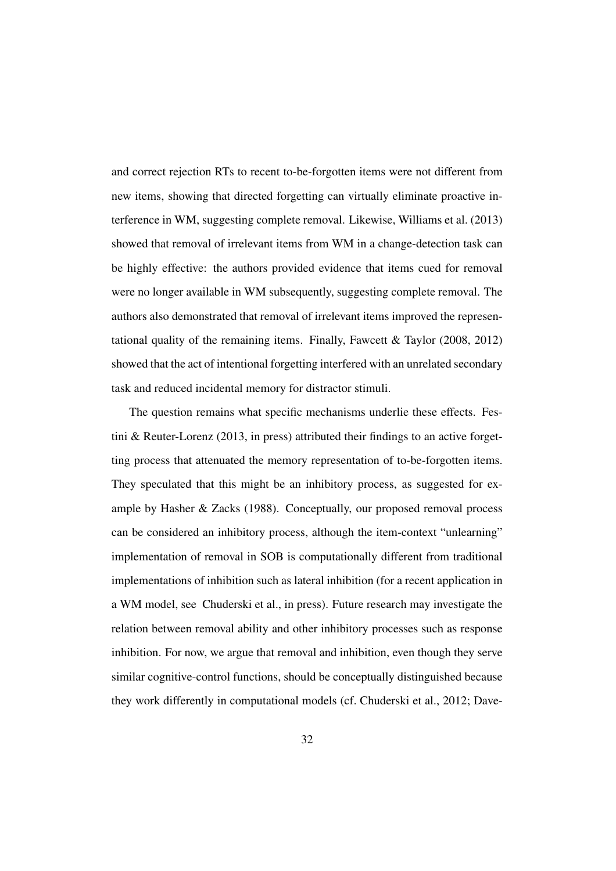and correct rejection RTs to recent to-be-forgotten items were not different from new items, showing that directed forgetting can virtually eliminate proactive interference in WM, suggesting complete removal. Likewise, Williams et al. (2013) showed that removal of irrelevant items from WM in a change-detection task can be highly effective: the authors provided evidence that items cued for removal were no longer available in WM subsequently, suggesting complete removal. The authors also demonstrated that removal of irrelevant items improved the representational quality of the remaining items. Finally, Fawcett  $\&$  Taylor (2008, 2012) showed that the act of intentional forgetting interfered with an unrelated secondary task and reduced incidental memory for distractor stimuli.

The question remains what specific mechanisms underlie these effects. Festini & Reuter-Lorenz (2013, in press) attributed their findings to an active forgetting process that attenuated the memory representation of to-be-forgotten items. They speculated that this might be an inhibitory process, as suggested for example by Hasher & Zacks (1988). Conceptually, our proposed removal process can be considered an inhibitory process, although the item-context "unlearning" implementation of removal in SOB is computationally different from traditional implementations of inhibition such as lateral inhibition (for a recent application in a WM model, see Chuderski et al., in press). Future research may investigate the relation between removal ability and other inhibitory processes such as response inhibition. For now, we argue that removal and inhibition, even though they serve similar cognitive-control functions, should be conceptually distinguished because they work differently in computational models (cf. Chuderski et al., 2012; Dave-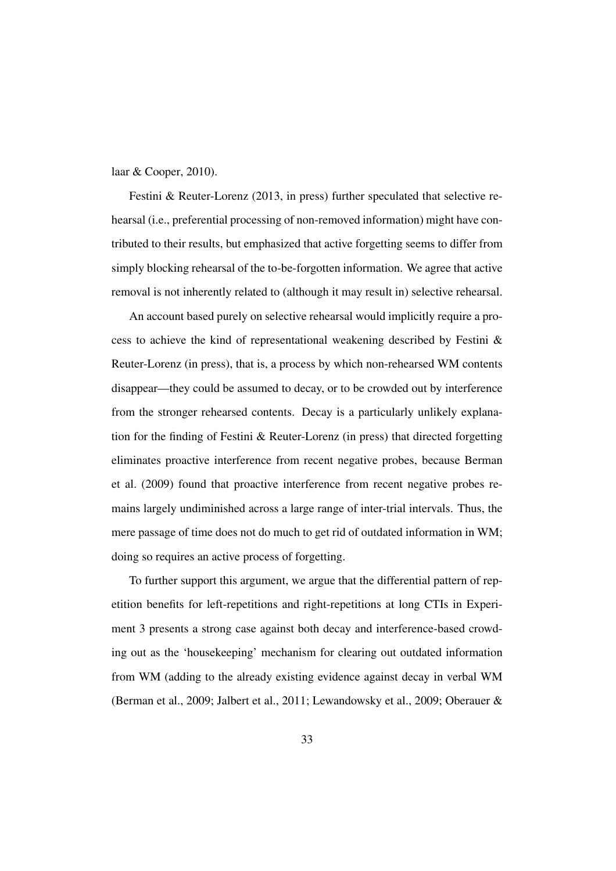#### laar & Cooper, 2010).

Festini & Reuter-Lorenz (2013, in press) further speculated that selective rehearsal (i.e., preferential processing of non-removed information) might have contributed to their results, but emphasized that active forgetting seems to differ from simply blocking rehearsal of the to-be-forgotten information. We agree that active removal is not inherently related to (although it may result in) selective rehearsal.

An account based purely on selective rehearsal would implicitly require a process to achieve the kind of representational weakening described by Festini & Reuter-Lorenz (in press), that is, a process by which non-rehearsed WM contents disappear—they could be assumed to decay, or to be crowded out by interference from the stronger rehearsed contents. Decay is a particularly unlikely explanation for the finding of Festini & Reuter-Lorenz (in press) that directed forgetting eliminates proactive interference from recent negative probes, because Berman et al. (2009) found that proactive interference from recent negative probes remains largely undiminished across a large range of inter-trial intervals. Thus, the mere passage of time does not do much to get rid of outdated information in WM; doing so requires an active process of forgetting.

To further support this argument, we argue that the differential pattern of repetition benefits for left-repetitions and right-repetitions at long CTIs in Experiment 3 presents a strong case against both decay and interference-based crowding out as the 'housekeeping' mechanism for clearing out outdated information from WM (adding to the already existing evidence against decay in verbal WM (Berman et al., 2009; Jalbert et al., 2011; Lewandowsky et al., 2009; Oberauer &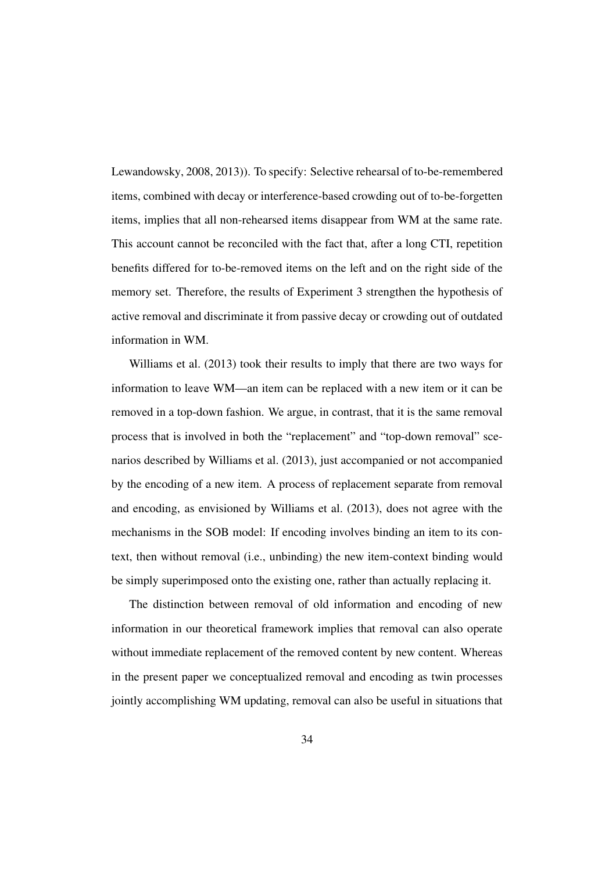Lewandowsky, 2008, 2013)). To specify: Selective rehearsal of to-be-remembered items, combined with decay or interference-based crowding out of to-be-forgetten items, implies that all non-rehearsed items disappear from WM at the same rate. This account cannot be reconciled with the fact that, after a long CTI, repetition benefits differed for to-be-removed items on the left and on the right side of the memory set. Therefore, the results of Experiment 3 strengthen the hypothesis of active removal and discriminate it from passive decay or crowding out of outdated information in WM.

Williams et al. (2013) took their results to imply that there are two ways for information to leave WM—an item can be replaced with a new item or it can be removed in a top-down fashion. We argue, in contrast, that it is the same removal process that is involved in both the "replacement" and "top-down removal" scenarios described by Williams et al. (2013), just accompanied or not accompanied by the encoding of a new item. A process of replacement separate from removal and encoding, as envisioned by Williams et al. (2013), does not agree with the mechanisms in the SOB model: If encoding involves binding an item to its context, then without removal (i.e., unbinding) the new item-context binding would be simply superimposed onto the existing one, rather than actually replacing it.

The distinction between removal of old information and encoding of new information in our theoretical framework implies that removal can also operate without immediate replacement of the removed content by new content. Whereas in the present paper we conceptualized removal and encoding as twin processes jointly accomplishing WM updating, removal can also be useful in situations that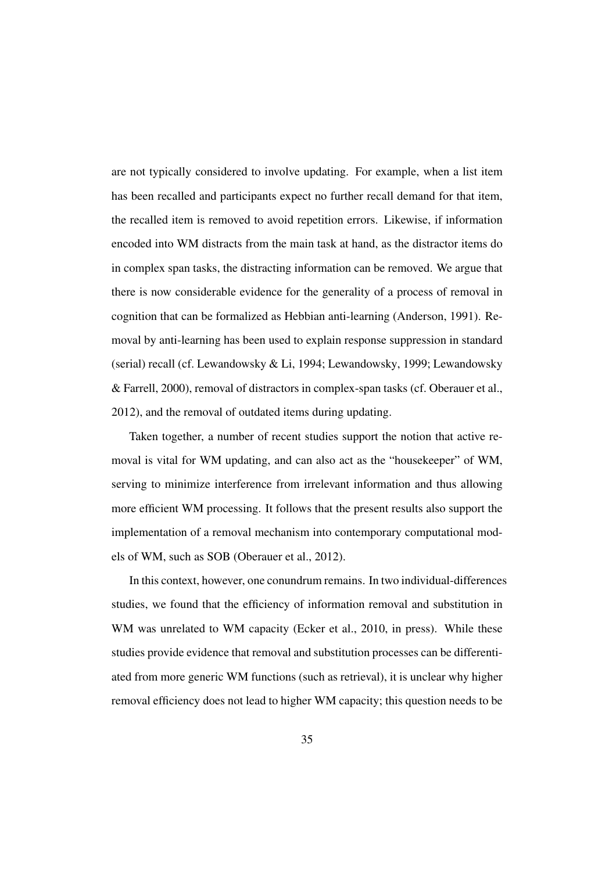are not typically considered to involve updating. For example, when a list item has been recalled and participants expect no further recall demand for that item, the recalled item is removed to avoid repetition errors. Likewise, if information encoded into WM distracts from the main task at hand, as the distractor items do in complex span tasks, the distracting information can be removed. We argue that there is now considerable evidence for the generality of a process of removal in cognition that can be formalized as Hebbian anti-learning (Anderson, 1991). Removal by anti-learning has been used to explain response suppression in standard (serial) recall (cf. Lewandowsky & Li, 1994; Lewandowsky, 1999; Lewandowsky & Farrell, 2000), removal of distractors in complex-span tasks (cf. Oberauer et al., 2012), and the removal of outdated items during updating.

Taken together, a number of recent studies support the notion that active removal is vital for WM updating, and can also act as the "housekeeper" of WM, serving to minimize interference from irrelevant information and thus allowing more efficient WM processing. It follows that the present results also support the implementation of a removal mechanism into contemporary computational models of WM, such as SOB (Oberauer et al., 2012).

In this context, however, one conundrum remains. In two individual-differences studies, we found that the efficiency of information removal and substitution in WM was unrelated to WM capacity (Ecker et al., 2010, in press). While these studies provide evidence that removal and substitution processes can be differentiated from more generic WM functions (such as retrieval), it is unclear why higher removal efficiency does not lead to higher WM capacity; this question needs to be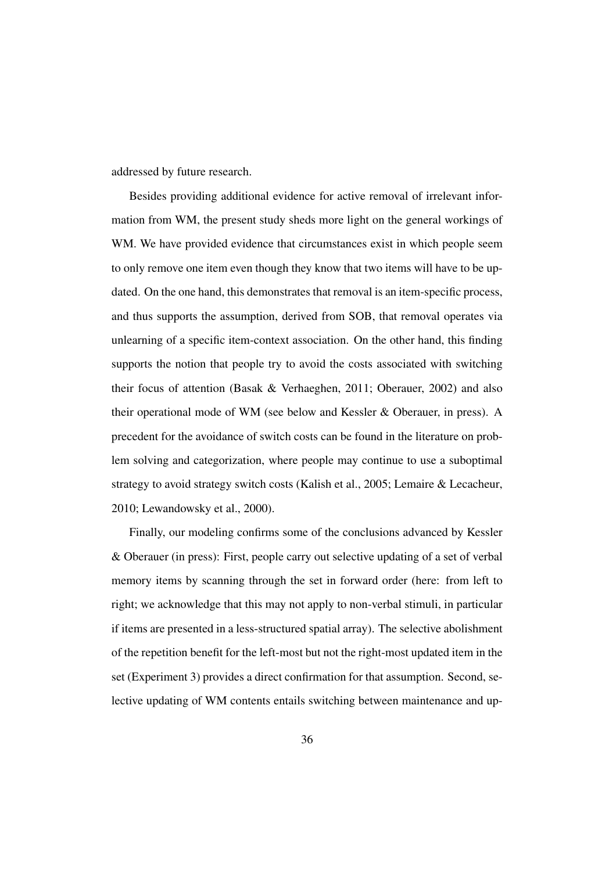addressed by future research.

Besides providing additional evidence for active removal of irrelevant information from WM, the present study sheds more light on the general workings of WM. We have provided evidence that circumstances exist in which people seem to only remove one item even though they know that two items will have to be updated. On the one hand, this demonstrates that removal is an item-specific process, and thus supports the assumption, derived from SOB, that removal operates via unlearning of a specific item-context association. On the other hand, this finding supports the notion that people try to avoid the costs associated with switching their focus of attention (Basak & Verhaeghen, 2011; Oberauer, 2002) and also their operational mode of WM (see below and Kessler & Oberauer, in press). A precedent for the avoidance of switch costs can be found in the literature on problem solving and categorization, where people may continue to use a suboptimal strategy to avoid strategy switch costs (Kalish et al., 2005; Lemaire & Lecacheur, 2010; Lewandowsky et al., 2000).

Finally, our modeling confirms some of the conclusions advanced by Kessler & Oberauer (in press): First, people carry out selective updating of a set of verbal memory items by scanning through the set in forward order (here: from left to right; we acknowledge that this may not apply to non-verbal stimuli, in particular if items are presented in a less-structured spatial array). The selective abolishment of the repetition benefit for the left-most but not the right-most updated item in the set (Experiment 3) provides a direct confirmation for that assumption. Second, selective updating of WM contents entails switching between maintenance and up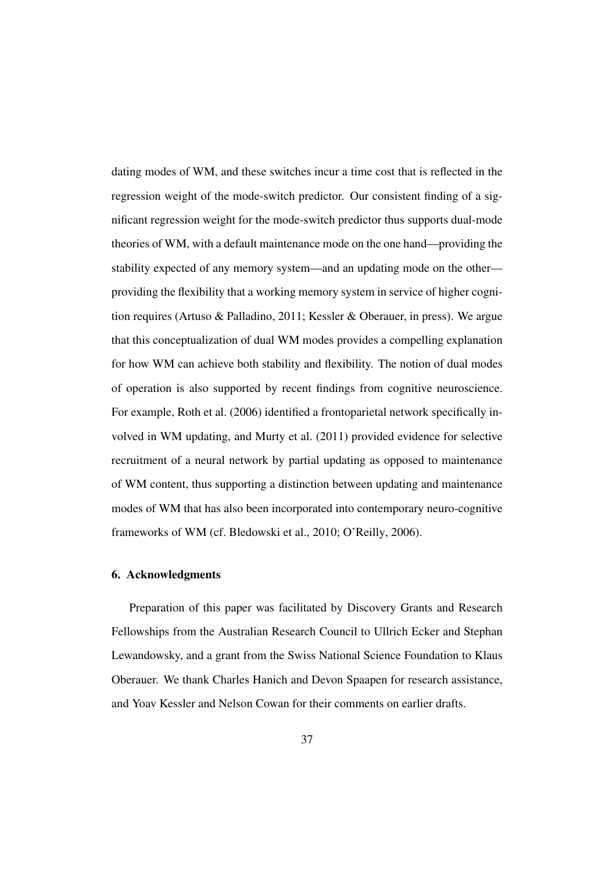dating modes of WM, and these switches incur a time cost that is reflected in the regression weight of the mode-switch predictor. Our consistent finding of a significant regression weight for the mode-switch predictor thus supports dual-mode theories of WM, with a default maintenance mode on the one hand—providing the stability expected of any memory system—and an updating mode on the other providing the flexibility that a working memory system in service of higher cognition requires (Artuso & Palladino, 2011; Kessler & Oberauer, in press). We argue that this conceptualization of dual WM modes provides a compelling explanation for how WM can achieve both stability and flexibility. The notion of dual modes of operation is also supported by recent findings from cognitive neuroscience. For example, Roth et al. (2006) identified a frontoparietal network specifically involved in WM updating, and Murty et al. (2011) provided evidence for selective recruitment of a neural network by partial updating as opposed to maintenance of WM content, thus supporting a distinction between updating and maintenance modes of WM that has also been incorporated into contemporary neuro-cognitive frameworks of WM (cf. Bledowski et al., 2010; O'Reilly, 2006).

#### 6. Acknowledgments

Preparation of this paper was facilitated by Discovery Grants and Research Fellowships from the Australian Research Council to Ullrich Ecker and Stephan Lewandowsky, and a grant from the Swiss National Science Foundation to Klaus Oberauer. We thank Charles Hanich and Devon Spaapen for research assistance, and Yoav Kessler and Nelson Cowan for their comments on earlier drafts.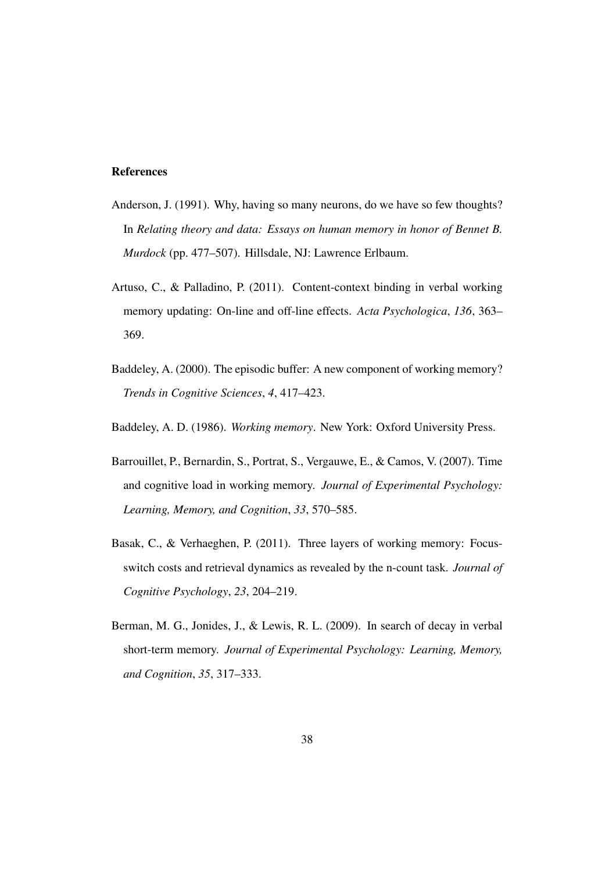#### References

- Anderson, J. (1991). Why, having so many neurons, do we have so few thoughts? In *Relating theory and data: Essays on human memory in honor of Bennet B. Murdock* (pp. 477–507). Hillsdale, NJ: Lawrence Erlbaum.
- Artuso, C., & Palladino, P. (2011). Content-context binding in verbal working memory updating: On-line and off-line effects. *Acta Psychologica*, *136*, 363– 369.
- Baddeley, A. (2000). The episodic buffer: A new component of working memory? *Trends in Cognitive Sciences*, *4*, 417–423.
- Baddeley, A. D. (1986). *Working memory*. New York: Oxford University Press.
- Barrouillet, P., Bernardin, S., Portrat, S., Vergauwe, E., & Camos, V. (2007). Time and cognitive load in working memory. *Journal of Experimental Psychology: Learning, Memory, and Cognition*, *33*, 570–585.
- Basak, C., & Verhaeghen, P. (2011). Three layers of working memory: Focusswitch costs and retrieval dynamics as revealed by the n-count task. *Journal of Cognitive Psychology*, *23*, 204–219.
- Berman, M. G., Jonides, J., & Lewis, R. L. (2009). In search of decay in verbal short-term memory. *Journal of Experimental Psychology: Learning, Memory, and Cognition*, *35*, 317–333.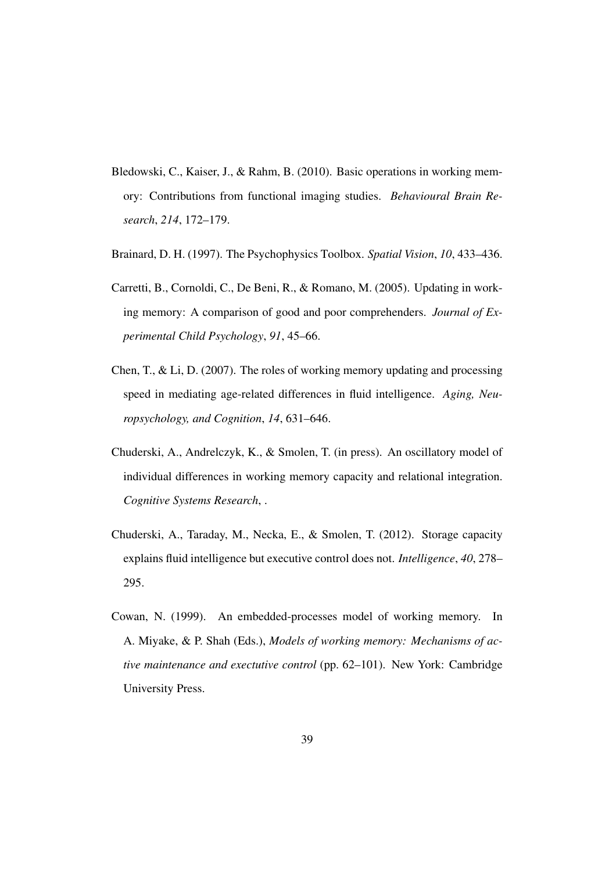- Bledowski, C., Kaiser, J., & Rahm, B. (2010). Basic operations in working memory: Contributions from functional imaging studies. *Behavioural Brain Research*, *214*, 172–179.
- Brainard, D. H. (1997). The Psychophysics Toolbox. *Spatial Vision*, *10*, 433–436.
- Carretti, B., Cornoldi, C., De Beni, R., & Romano, M. (2005). Updating in working memory: A comparison of good and poor comprehenders. *Journal of Experimental Child Psychology*, *91*, 45–66.
- Chen, T., & Li, D. (2007). The roles of working memory updating and processing speed in mediating age-related differences in fluid intelligence. *Aging, Neuropsychology, and Cognition*, *14*, 631–646.
- Chuderski, A., Andrelczyk, K., & Smolen, T. (in press). An oscillatory model of individual differences in working memory capacity and relational integration. *Cognitive Systems Research*, .
- Chuderski, A., Taraday, M., Necka, E., & Smolen, T. (2012). Storage capacity explains fluid intelligence but executive control does not. *Intelligence*, *40*, 278– 295.
- Cowan, N. (1999). An embedded-processes model of working memory. In A. Miyake, & P. Shah (Eds.), *Models of working memory: Mechanisms of active maintenance and exectutive control* (pp. 62–101). New York: Cambridge University Press.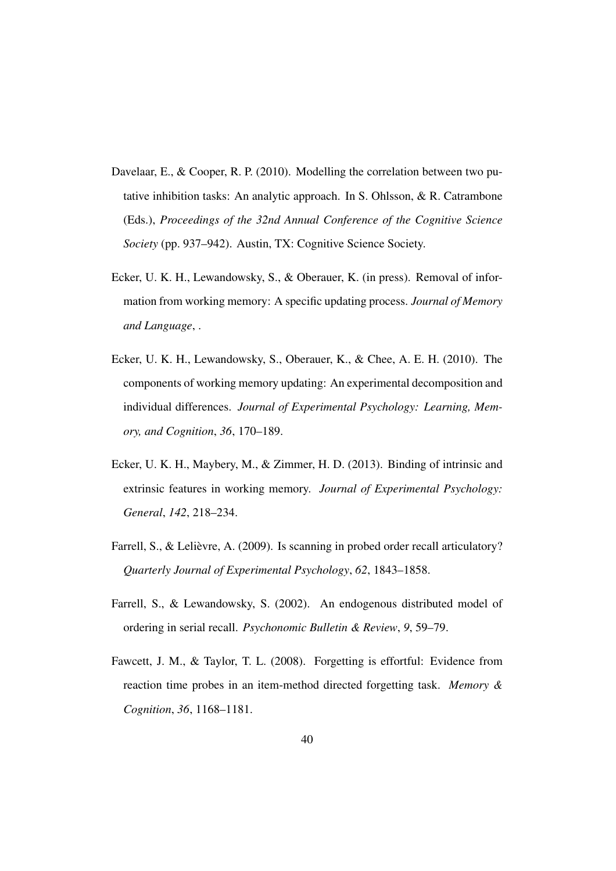- Davelaar, E., & Cooper, R. P. (2010). Modelling the correlation between two putative inhibition tasks: An analytic approach. In S. Ohlsson, & R. Catrambone (Eds.), *Proceedings of the 32nd Annual Conference of the Cognitive Science Society* (pp. 937–942). Austin, TX: Cognitive Science Society.
- Ecker, U. K. H., Lewandowsky, S., & Oberauer, K. (in press). Removal of information from working memory: A specific updating process. *Journal of Memory and Language*, .
- Ecker, U. K. H., Lewandowsky, S., Oberauer, K., & Chee, A. E. H. (2010). The components of working memory updating: An experimental decomposition and individual differences. *Journal of Experimental Psychology: Learning, Memory, and Cognition*, *36*, 170–189.
- Ecker, U. K. H., Maybery, M., & Zimmer, H. D. (2013). Binding of intrinsic and extrinsic features in working memory. *Journal of Experimental Psychology: General*, *142*, 218–234.
- Farrell, S., & Lelièvre, A. (2009). Is scanning in probed order recall articulatory? *Quarterly Journal of Experimental Psychology*, *62*, 1843–1858.
- Farrell, S., & Lewandowsky, S. (2002). An endogenous distributed model of ordering in serial recall. *Psychonomic Bulletin & Review*, *9*, 59–79.
- Fawcett, J. M., & Taylor, T. L. (2008). Forgetting is effortful: Evidence from reaction time probes in an item-method directed forgetting task. *Memory & Cognition*, *36*, 1168–1181.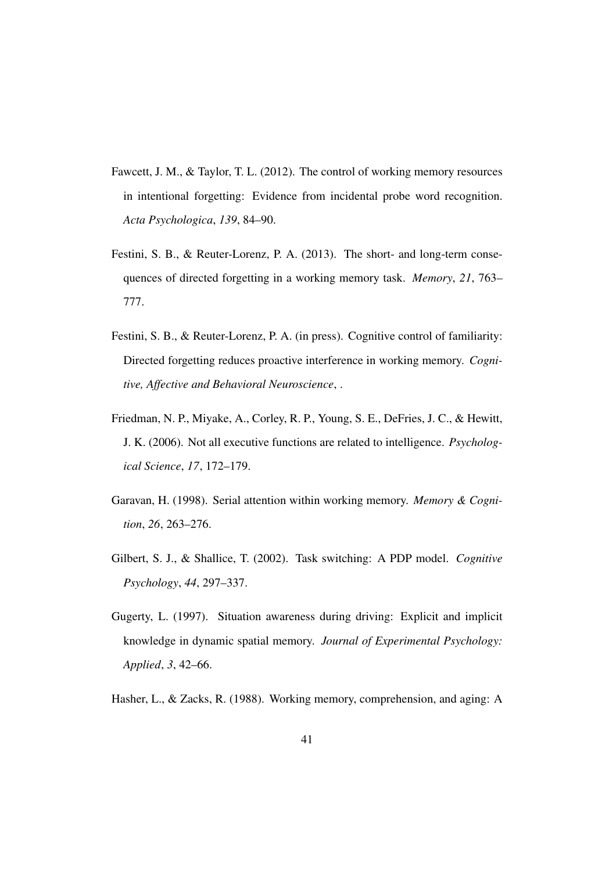- Fawcett, J. M., & Taylor, T. L. (2012). The control of working memory resources in intentional forgetting: Evidence from incidental probe word recognition. *Acta Psychologica*, *139*, 84–90.
- Festini, S. B., & Reuter-Lorenz, P. A. (2013). The short- and long-term consequences of directed forgetting in a working memory task. *Memory*, *21*, 763– 777.
- Festini, S. B., & Reuter-Lorenz, P. A. (in press). Cognitive control of familiarity: Directed forgetting reduces proactive interference in working memory. *Cognitive, Affective and Behavioral Neuroscience*, .
- Friedman, N. P., Miyake, A., Corley, R. P., Young, S. E., DeFries, J. C., & Hewitt, J. K. (2006). Not all executive functions are related to intelligence. *Psychological Science*, *17*, 172–179.
- Garavan, H. (1998). Serial attention within working memory. *Memory & Cognition*, *26*, 263–276.
- Gilbert, S. J., & Shallice, T. (2002). Task switching: A PDP model. *Cognitive Psychology*, *44*, 297–337.
- Gugerty, L. (1997). Situation awareness during driving: Explicit and implicit knowledge in dynamic spatial memory. *Journal of Experimental Psychology: Applied*, *3*, 42–66.
- Hasher, L., & Zacks, R. (1988). Working memory, comprehension, and aging: A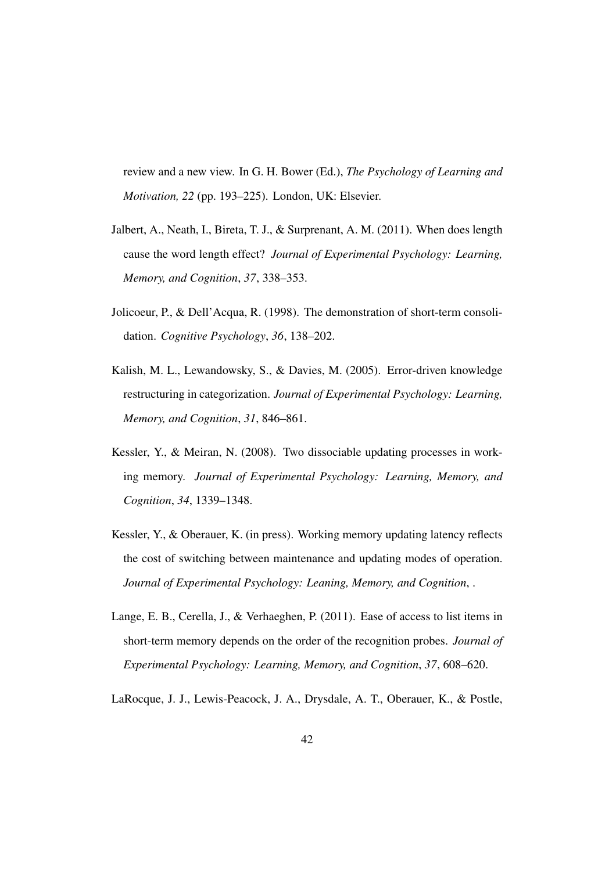review and a new view. In G. H. Bower (Ed.), *The Psychology of Learning and Motivation, 22* (pp. 193–225). London, UK: Elsevier.

- Jalbert, A., Neath, I., Bireta, T. J., & Surprenant, A. M. (2011). When does length cause the word length effect? *Journal of Experimental Psychology: Learning, Memory, and Cognition*, *37*, 338–353.
- Jolicoeur, P., & Dell'Acqua, R. (1998). The demonstration of short-term consolidation. *Cognitive Psychology*, *36*, 138–202.
- Kalish, M. L., Lewandowsky, S., & Davies, M. (2005). Error-driven knowledge restructuring in categorization. *Journal of Experimental Psychology: Learning, Memory, and Cognition*, *31*, 846–861.
- Kessler, Y., & Meiran, N. (2008). Two dissociable updating processes in working memory. *Journal of Experimental Psychology: Learning, Memory, and Cognition*, *34*, 1339–1348.
- Kessler, Y., & Oberauer, K. (in press). Working memory updating latency reflects the cost of switching between maintenance and updating modes of operation. *Journal of Experimental Psychology: Leaning, Memory, and Cognition*, .
- Lange, E. B., Cerella, J., & Verhaeghen, P. (2011). Ease of access to list items in short-term memory depends on the order of the recognition probes. *Journal of Experimental Psychology: Learning, Memory, and Cognition*, *37*, 608–620.

LaRocque, J. J., Lewis-Peacock, J. A., Drysdale, A. T., Oberauer, K., & Postle,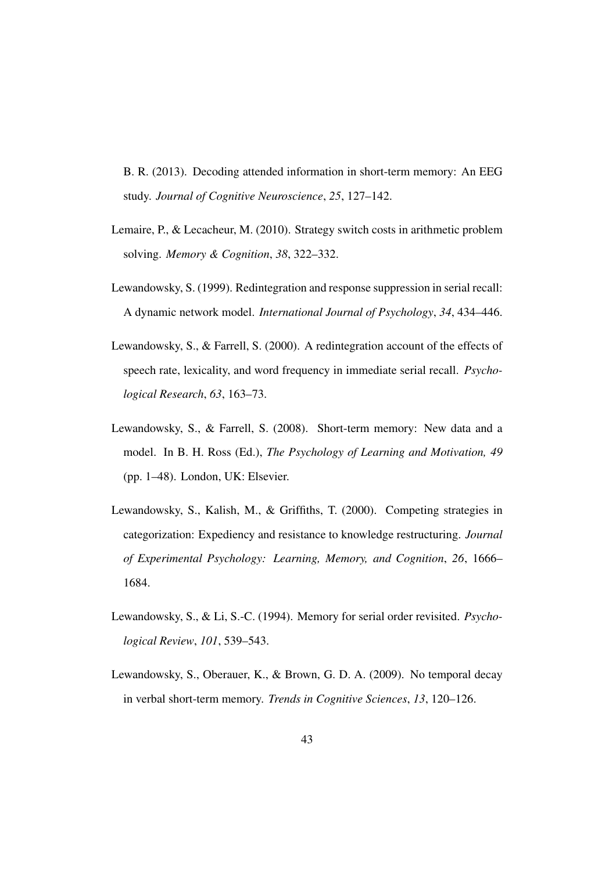B. R. (2013). Decoding attended information in short-term memory: An EEG study. *Journal of Cognitive Neuroscience*, *25*, 127–142.

- Lemaire, P., & Lecacheur, M. (2010). Strategy switch costs in arithmetic problem solving. *Memory & Cognition*, *38*, 322–332.
- Lewandowsky, S. (1999). Redintegration and response suppression in serial recall: A dynamic network model. *International Journal of Psychology*, *34*, 434–446.
- Lewandowsky, S., & Farrell, S. (2000). A redintegration account of the effects of speech rate, lexicality, and word frequency in immediate serial recall. *Psychological Research*, *63*, 163–73.
- Lewandowsky, S., & Farrell, S. (2008). Short-term memory: New data and a model. In B. H. Ross (Ed.), *The Psychology of Learning and Motivation, 49* (pp. 1–48). London, UK: Elsevier.
- Lewandowsky, S., Kalish, M., & Griffiths, T. (2000). Competing strategies in categorization: Expediency and resistance to knowledge restructuring. *Journal of Experimental Psychology: Learning, Memory, and Cognition*, *26*, 1666– 1684.
- Lewandowsky, S., & Li, S.-C. (1994). Memory for serial order revisited. *Psychological Review*, *101*, 539–543.
- Lewandowsky, S., Oberauer, K., & Brown, G. D. A. (2009). No temporal decay in verbal short-term memory. *Trends in Cognitive Sciences*, *13*, 120–126.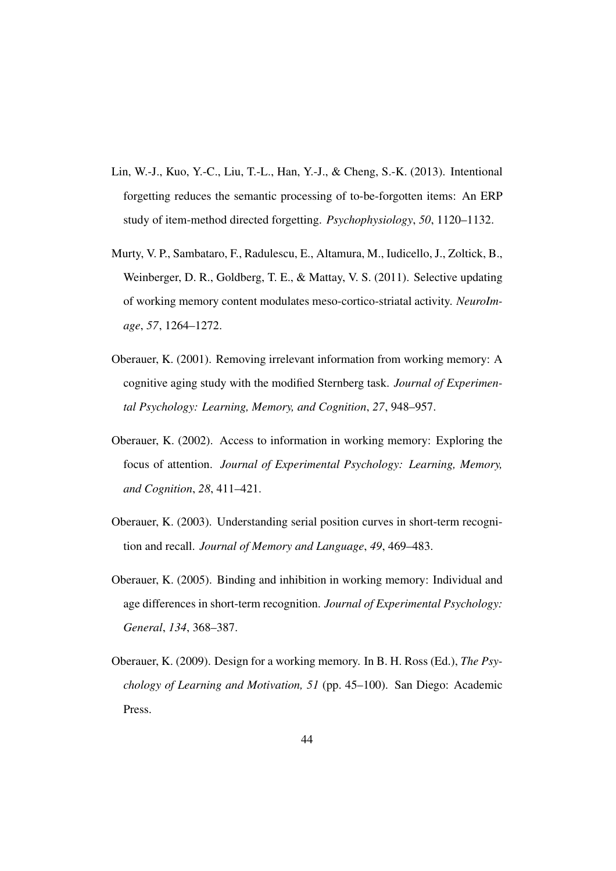- Lin, W.-J., Kuo, Y.-C., Liu, T.-L., Han, Y.-J., & Cheng, S.-K. (2013). Intentional forgetting reduces the semantic processing of to-be-forgotten items: An ERP study of item-method directed forgetting. *Psychophysiology*, *50*, 1120–1132.
- Murty, V. P., Sambataro, F., Radulescu, E., Altamura, M., Iudicello, J., Zoltick, B., Weinberger, D. R., Goldberg, T. E., & Mattay, V. S. (2011). Selective updating of working memory content modulates meso-cortico-striatal activity. *NeuroImage*, *57*, 1264–1272.
- Oberauer, K. (2001). Removing irrelevant information from working memory: A cognitive aging study with the modified Sternberg task. *Journal of Experimental Psychology: Learning, Memory, and Cognition*, *27*, 948–957.
- Oberauer, K. (2002). Access to information in working memory: Exploring the focus of attention. *Journal of Experimental Psychology: Learning, Memory, and Cognition*, *28*, 411–421.
- Oberauer, K. (2003). Understanding serial position curves in short-term recognition and recall. *Journal of Memory and Language*, *49*, 469–483.
- Oberauer, K. (2005). Binding and inhibition in working memory: Individual and age differences in short-term recognition. *Journal of Experimental Psychology: General*, *134*, 368–387.
- Oberauer, K. (2009). Design for a working memory. In B. H. Ross (Ed.), *The Psychology of Learning and Motivation, 51* (pp. 45–100). San Diego: Academic Press.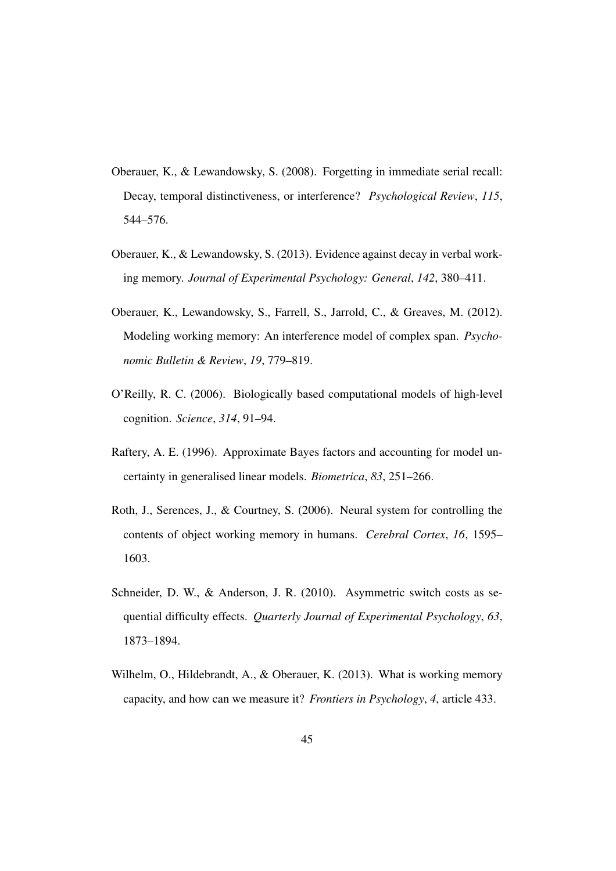- Oberauer, K., & Lewandowsky, S. (2008). Forgetting in immediate serial recall: Decay, temporal distinctiveness, or interference? *Psychological Review*, *115*, 544–576.
- Oberauer, K., & Lewandowsky, S. (2013). Evidence against decay in verbal working memory. *Journal of Experimental Psychology: General*, *142*, 380–411.
- Oberauer, K., Lewandowsky, S., Farrell, S., Jarrold, C., & Greaves, M. (2012). Modeling working memory: An interference model of complex span. *Psychonomic Bulletin & Review*, *19*, 779–819.
- O'Reilly, R. C. (2006). Biologically based computational models of high-level cognition. *Science*, *314*, 91–94.
- Raftery, A. E. (1996). Approximate Bayes factors and accounting for model uncertainty in generalised linear models. *Biometrica*, *83*, 251–266.
- Roth, J., Serences, J., & Courtney, S. (2006). Neural system for controlling the contents of object working memory in humans. *Cerebral Cortex*, *16*, 1595– 1603.
- Schneider, D. W., & Anderson, J. R. (2010). Asymmetric switch costs as sequential difficulty effects. *Quarterly Journal of Experimental Psychology*, *63*, 1873–1894.
- Wilhelm, O., Hildebrandt, A., & Oberauer, K. (2013). What is working memory capacity, and how can we measure it? *Frontiers in Psychology*, *4*, article 433.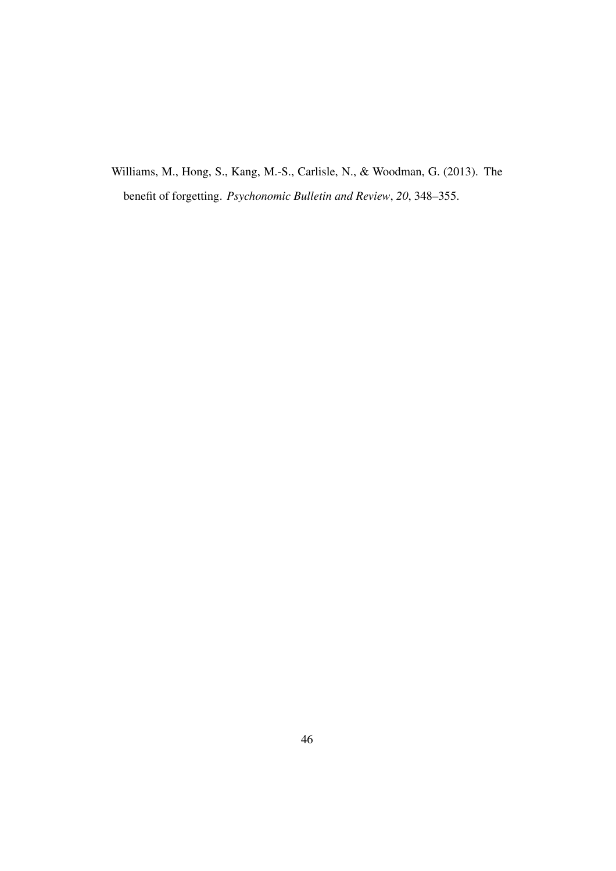Williams, M., Hong, S., Kang, M.-S., Carlisle, N., & Woodman, G. (2013). The benefit of forgetting. *Psychonomic Bulletin and Review*, *20*, 348–355.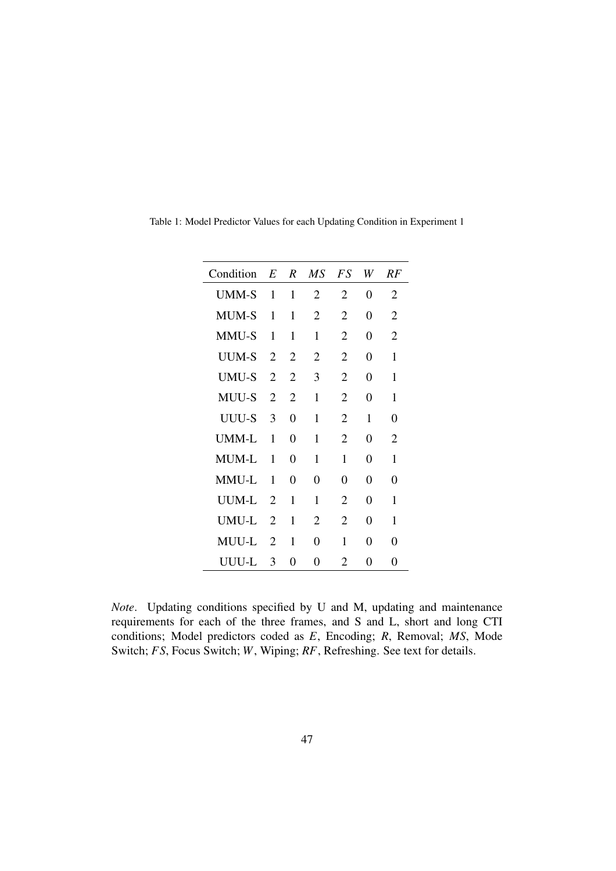| Condition    | E              | $\boldsymbol{R}$ | $\overline{MS}$ | FS             | W        | RF |
|--------------|----------------|------------------|-----------------|----------------|----------|----|
| <b>UMM-S</b> | 1              | 1                | 2               | 2              | 0        | 2  |
| <b>MUM-S</b> | 1              | 1                | 2               | 2              | 0        | 2  |
| MMU-S        | 1              | 1                | 1               | 2              | 0        | 2  |
| <b>UUM-S</b> | 2              | 2                | 2               | 2              | 0        | 1  |
| <b>UMU-S</b> | 2              | 2                | 3               | 2              | 0        | 1  |
| <b>MUU-S</b> | 2              | 2                | $\mathbf{1}$    | 2              | 0        | 1  |
| UUU-S        | 3              | 0                | $\mathbf{1}$    | 2              | 1        | 0  |
| UMM-L        | 1              | 0                | 1               | 2              | $\theta$ | 2  |
| <b>MUM-L</b> | 1              | 0                | 1               | 1              | 0        | 1  |
| MMU-L        | 1              | 0                | 0               | 0              | $\theta$ | 0  |
| UUM-L        | $\overline{2}$ | 1                | 1               | $\overline{c}$ | 0        | 1  |
| UMU-L        | 2              | 1                | 2               | $\overline{2}$ | $\theta$ | 1  |
| MUU-L        | 2              | 1                | 0               | 1              | 0        | 0  |
| UUU-L        | 3              | 0                | 0               | 2              | 0        | 0  |

Table 1: Model Predictor Values for each Updating Condition in Experiment 1

*Note*. Updating conditions specified by U and M, updating and maintenance requirements for each of the three frames, and S and L, short and long CTI conditions; Model predictors coded as *E*, Encoding; *R*, Removal; *MS*, Mode Switch; *FS*, Focus Switch; *W*, Wiping; *RF*, Refreshing. See text for details.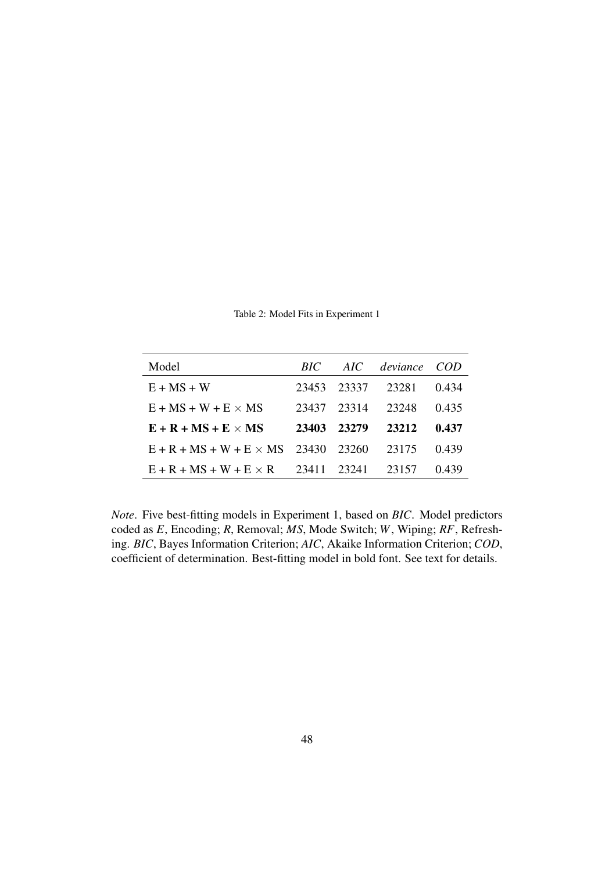| Model                                      | BIC — |             | AIC deviance COD |       |
|--------------------------------------------|-------|-------------|------------------|-------|
| $E + MS + W$                               |       | 23453 23337 | 23281            | 0.434 |
| $E + MS + W + E \times MS$                 | 23437 | 23314       | 23248            | 0.435 |
| $E + R + MS + E \times MS$                 | 23403 | 23279       | 23212            | 0.437 |
| $E + R + MS + W + E \times MS$ 23430 23260 |       |             | 23175            | 0.439 |
| $E + R + MS + W + E \times R$ 23411        |       | 23241       | 23157            | 0.439 |

Table 2: Model Fits in Experiment 1

*Note*. Five best-fitting models in Experiment 1, based on *BIC*. Model predictors coded as *E*, Encoding; *R*, Removal; *MS*, Mode Switch; *W*, Wiping; *RF*, Refreshing. *BIC*, Bayes Information Criterion; *AIC*, Akaike Information Criterion; *COD*, coefficient of determination. Best-fitting model in bold font. See text for details.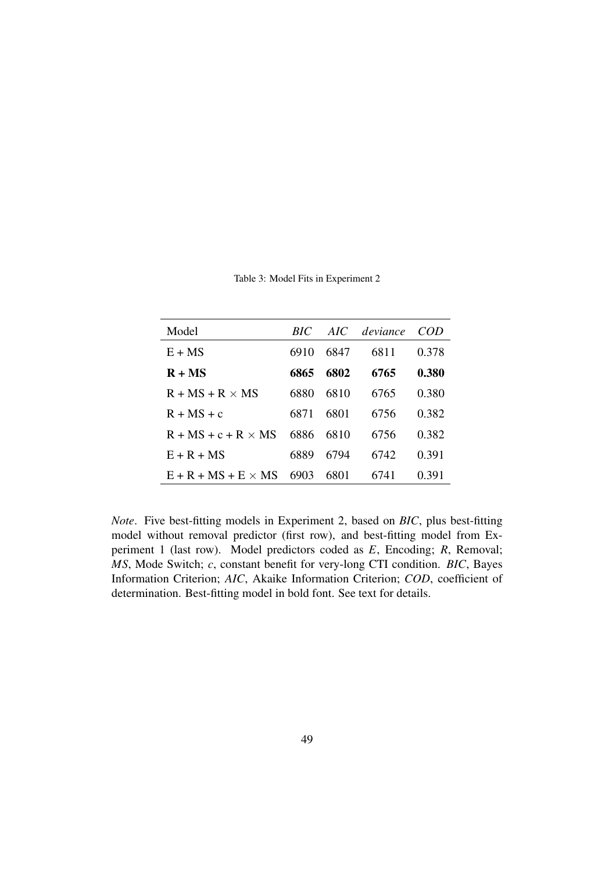| Model                      | <i>RIC</i> |      | AIC deviance | COD   |
|----------------------------|------------|------|--------------|-------|
| $E + MS$                   | 6910       | 6847 | 6811         | 0.378 |
| $R + MS$                   | 6865       | 6802 | 6765         | 0.380 |
| $R + MS + R \times MS$     | 6880       | 6810 | 6765         | 0.380 |
| $R + MS + c$               | 6871       | 6801 | 6756         | 0.382 |
| $R + MS + c + R \times MS$ | 6886       | 6810 | 6756         | 0.382 |
| $E + R + MS$               | 6889       | 6794 | 6742         | 0.391 |
| $E + R + MS + E \times MS$ | 6903       | 6801 | 6741         | 0.391 |

Table 3: Model Fits in Experiment 2

*Note*. Five best-fitting models in Experiment 2, based on *BIC*, plus best-fitting model without removal predictor (first row), and best-fitting model from Experiment 1 (last row). Model predictors coded as *E*, Encoding; *R*, Removal; *MS*, Mode Switch; *c*, constant benefit for very-long CTI condition. *BIC*, Bayes Information Criterion; *AIC*, Akaike Information Criterion; *COD*, coefficient of determination. Best-fitting model in bold font. See text for details.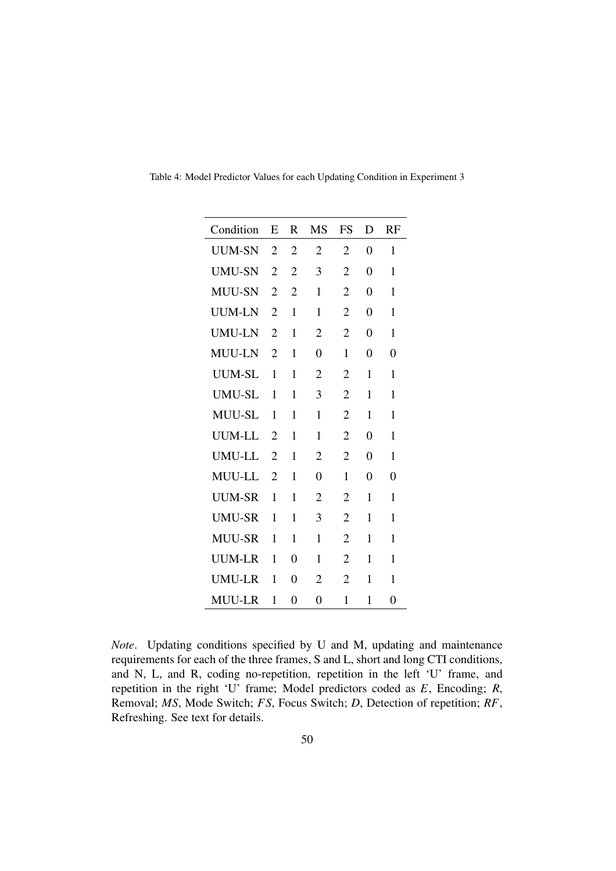| Condition     | E              | R              | MS             | FS             | D | RF             |
|---------------|----------------|----------------|----------------|----------------|---|----------------|
| <b>UUM-SN</b> | $\overline{2}$ | $\overline{2}$ | $\overline{2}$ | $\overline{2}$ | 0 | 1              |
| <b>UMU-SN</b> | $\overline{2}$ | $\overline{2}$ | 3              | $\overline{2}$ | 0 | 1              |
| <b>MUU-SN</b> | $\overline{2}$ | $\overline{2}$ | 1              | $\overline{2}$ | 0 | 1              |
| <b>UUM-LN</b> | $\overline{2}$ | 1              | 1              | $\overline{2}$ | 0 | 1              |
| <b>UMU-LN</b> | $\overline{2}$ | 1              | $\overline{2}$ | $\overline{2}$ | 0 | 1              |
| MUU-LN        | $\overline{2}$ | 1              | 0              | 1              | 0 | 0              |
| UUM-SL        | 1              | 1              | 2              | 2              | 1 | 1              |
| <b>UMU-SL</b> | 1              | 1              | 3              | $\overline{2}$ | 1 | 1              |
| <b>MUU-SL</b> | 1              | 1              | 1              | $\overline{2}$ | 1 | 1              |
| <b>UUM-LL</b> | $\overline{2}$ | 1              | 1              | $\overline{2}$ | 0 | 1              |
| <b>UMU-LL</b> | 2              | 1              | 2              | 2              | 0 | 1              |
| <b>MUU-LL</b> | $\overline{2}$ | 1              | 0              | 1              | 0 | 0              |
| <b>UUM-SR</b> | 1              | 1              | 2              | 2              | 1 | 1              |
| <b>UMU-SR</b> | 1              | 1              | 3              | $\overline{2}$ | 1 | 1              |
| <b>MUU-SR</b> | 1              | 1              | 1              | 2              | 1 | 1              |
| <b>UUM-LR</b> | 1              | 0              | 1              | 2              | 1 | 1              |
| UMU-LR        | 1              | $\Omega$       | 2              | $\overline{2}$ | 1 | 1              |
| <b>MUU-LR</b> | 1              | $\overline{0}$ | 0              | 1              | 1 | $\overline{0}$ |

Table 4: Model Predictor Values for each Updating Condition in Experiment 3

*Note*. Updating conditions specified by U and M, updating and maintenance requirements for each of the three frames, S and L, short and long CTI conditions, and N, L, and R, coding no-repetition, repetition in the left 'U' frame, and repetition in the right 'U' frame; Model predictors coded as *E*, Encoding; *R*, Removal; *MS*, Mode Switch; *FS*, Focus Switch; *D*, Detection of repetition; *RF*, Refreshing. See text for details.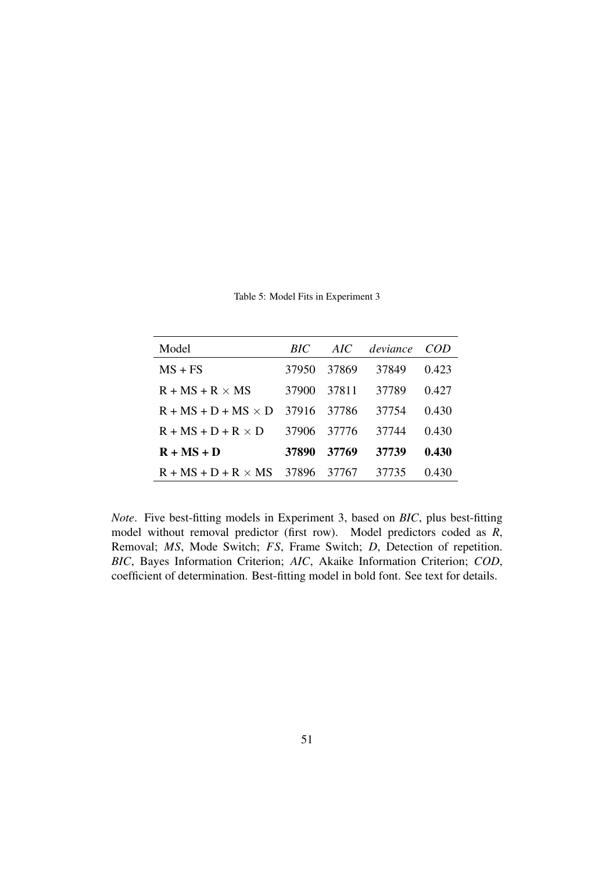| Model                            | BIC   | AIC.  | deviance | – COD  |
|----------------------------------|-------|-------|----------|--------|
| $MS + FS$                        | 37950 | 37869 | 37849    | 0.423  |
| $R + MS + R \times MS$           | 37900 | 37811 | 37789    | 0.427  |
| $R + MS + D + MS \times D$ 37916 |       | 37786 | 37754    | (1430) |
| $R + MS + D + R \times D$        | 37906 | 37776 | 37744    | 0.430  |
| $R + MS + D$                     | 37890 | 37769 | 37739    | 0.430  |
| $R + MS + D + R \times MS$       | 37896 | 37767 | 37735    | 0.430  |

Table 5: Model Fits in Experiment 3

*Note*. Five best-fitting models in Experiment 3, based on *BIC*, plus best-fitting model without removal predictor (first row). Model predictors coded as *R*, Removal; *MS*, Mode Switch; *FS*, Frame Switch; *D*, Detection of repetition. *BIC*, Bayes Information Criterion; *AIC*, Akaike Information Criterion; *COD*, coefficient of determination. Best-fitting model in bold font. See text for details.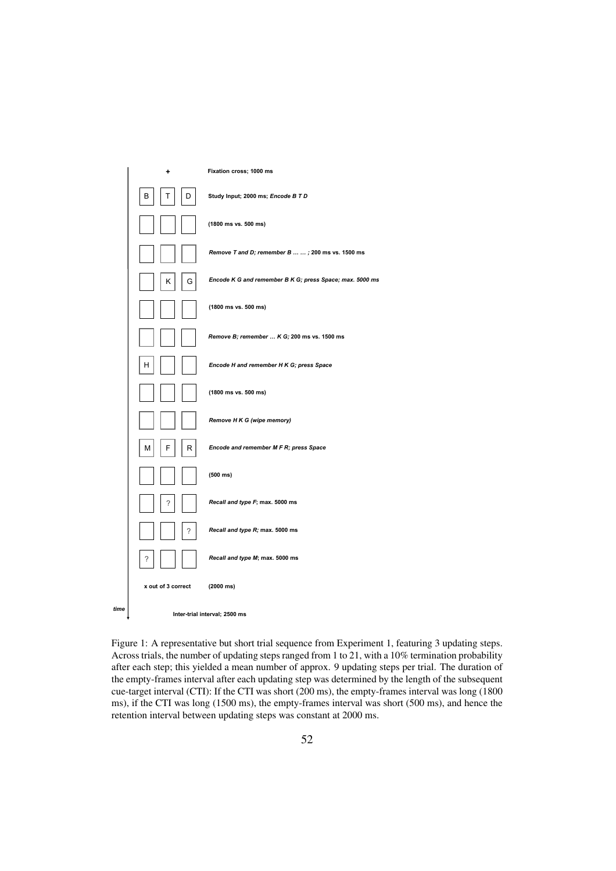

Figure 1: A representative but short trial sequence from Experiment 1, featuring 3 updating steps. Across trials, the number of updating steps ranged from 1 to 21, with a 10% termination probability after each step; this yielded a mean number of approx. 9 updating steps per trial. The duration of the empty-frames interval after each updating step was determined by the length of the subsequent cue-target interval (CTI): If the CTI was short (200 ms), the empty-frames interval was long (1800 ms), if the CTI was long (1500 ms), the empty-frames interval was short (500 ms), and hence the retention interval between updating steps was constant at 2000 ms.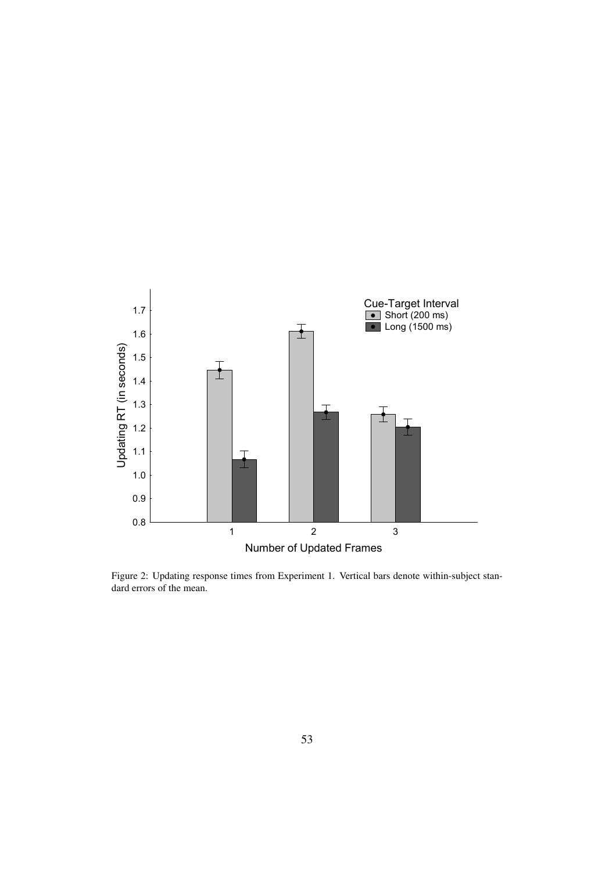

Figure 2: Updating response times from Experiment 1. Vertical bars denote within-subject standard errors of the mean.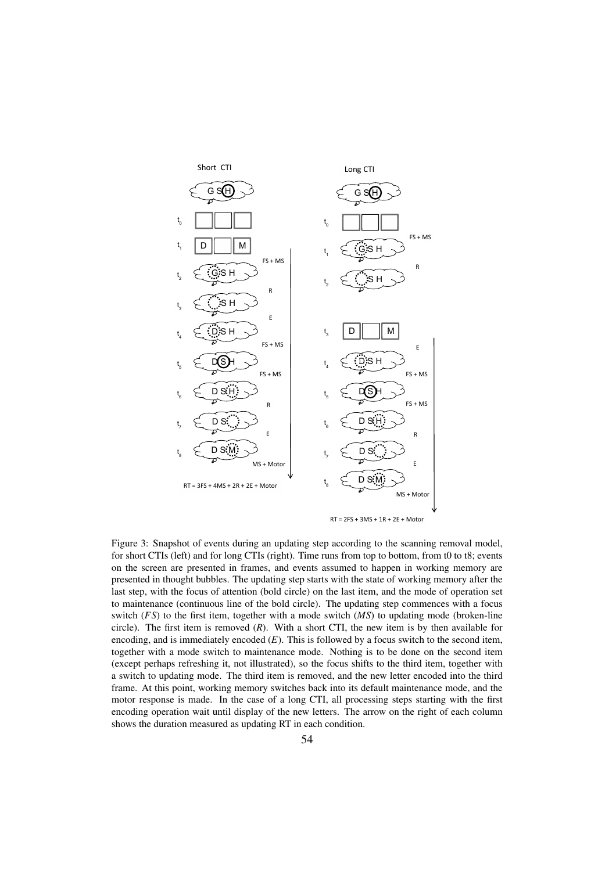

RT = 2FS + 3MS + 1R + 2E + Motor

Figure 3: Snapshot of events during an updating step according to the scanning removal model, for short CTIs (left) and for long CTIs (right). Time runs from top to bottom, from t0 to t8; events on the screen are presented in frames, and events assumed to happen in working memory are presented in thought bubbles. The updating step starts with the state of working memory after the last step, with the focus of attention (bold circle) on the last item, and the mode of operation set to maintenance (continuous line of the bold circle). The updating step commences with a focus switch (*FS*) to the first item, together with a mode switch (*MS*) to updating mode (broken-line circle). The first item is removed (*R*). With a short CTI, the new item is by then available for encoding, and is immediately encoded (*E*). This is followed by a focus switch to the second item, together with a mode switch to maintenance mode. Nothing is to be done on the second item (except perhaps refreshing it, not illustrated), so the focus shifts to the third item, together with a switch to updating mode. The third item is removed, and the new letter encoded into the third frame. At this point, working memory switches back into its default maintenance mode, and the motor response is made. In the case of a long CTI, all processing steps starting with the first encoding operation wait until display of the new letters. The arrow on the right of each column shows the duration measured as updating RT in each condition.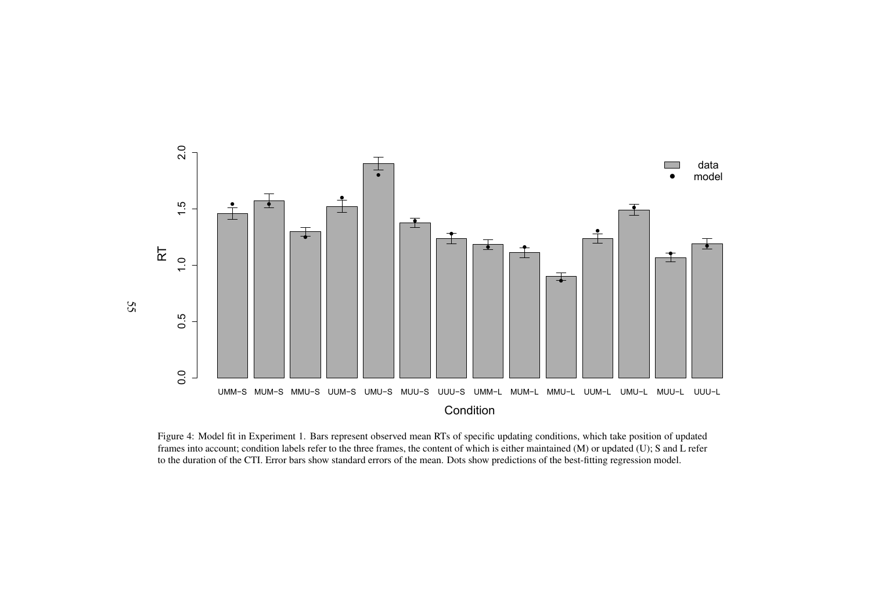

Figure 4: Model fit in Experiment 1. Bars represen<sup>t</sup> observed mean RTs of specific updating conditions, which take position of updated frames into account; condition labels refer to the three frames, the content of which is either maintained (M) or updated (U); S and L referto the duration of the CTI. Error bars show standard errors of the mean. Dots show predictions of the best-fitting regression model.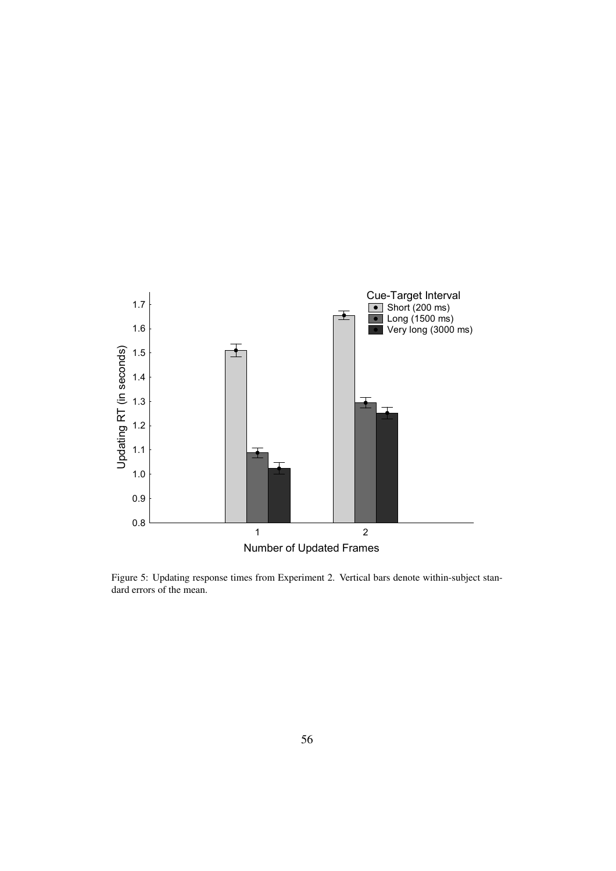

Figure 5: Updating response times from Experiment 2. Vertical bars denote within-subject standard errors of the mean.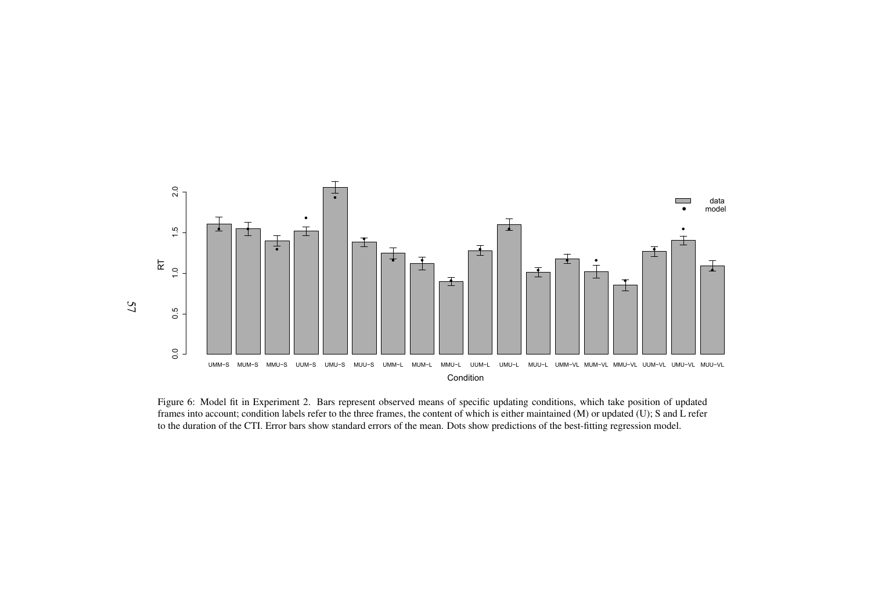

Figure 6: Model fit in Experiment 2. Bars represen<sup>t</sup> observed means of specific updating conditions, which take position of updated frames into account; condition labels refer to the three frames, the content of which is either maintained (M) or updated (U); S and L referto the duration of the CTI. Error bars show standard errors of the mean. Dots show predictions of the best-fitting regression model.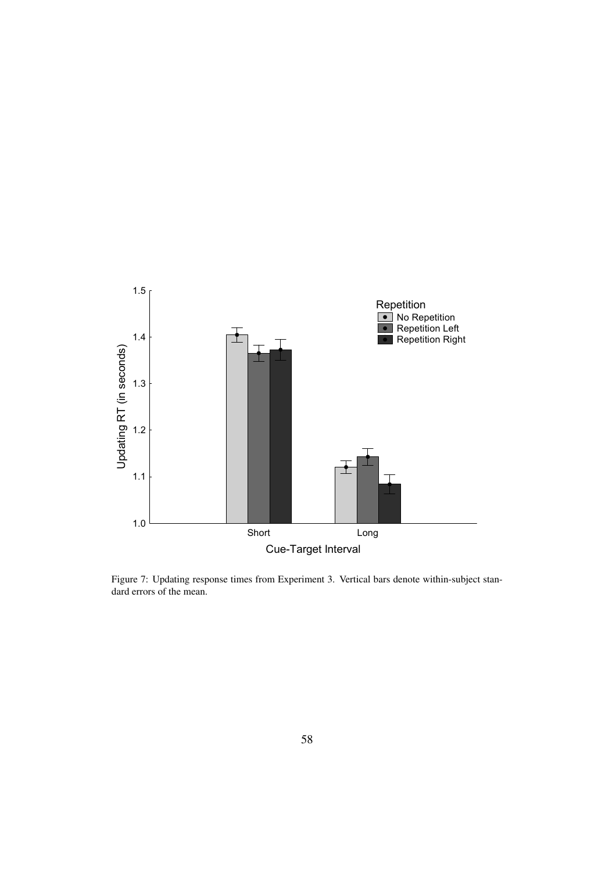

Figure 7: Updating response times from Experiment 3. Vertical bars denote within-subject standard errors of the mean.